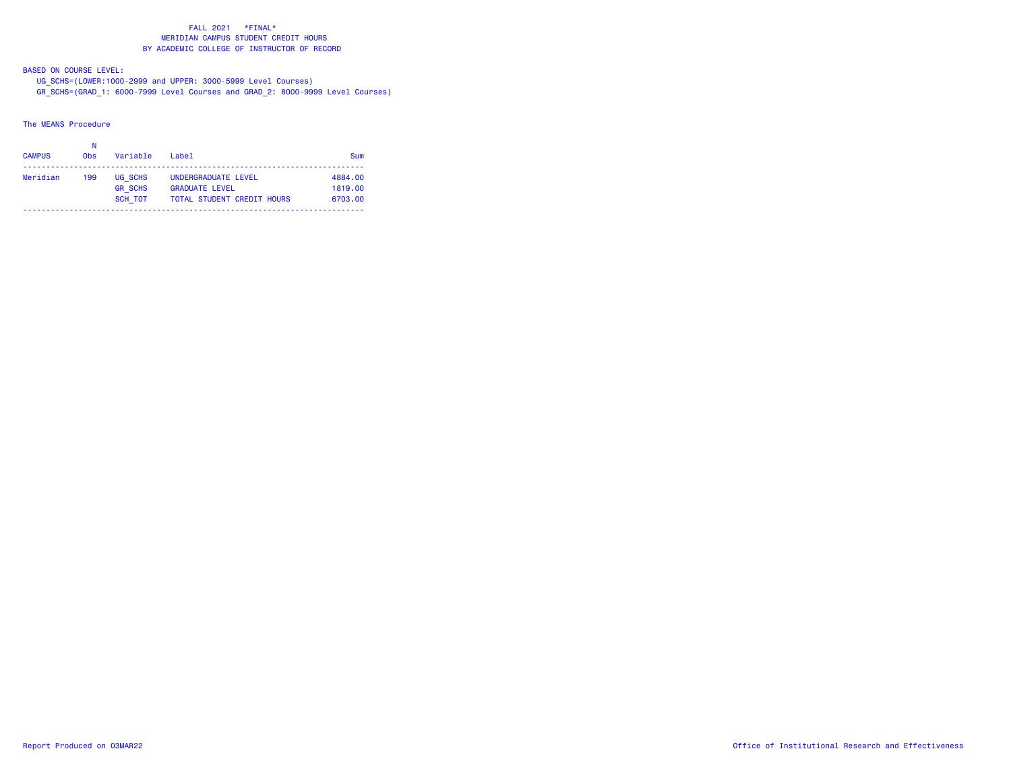BASED ON COURSE LEVEL:

 UG\_SCHS=(LOWER:1000-2999 and UPPER: 3000-5999 Level Courses) GR\_SCHS=(GRAD\_1: 6000-7999 Level Courses and GRAD\_2: 8000-9999 Level Courses)

The MEANS Procedure

| <b>CAMPUS</b> | 0 <sub>bs</sub> | Variable       | Label                             | Sum     |
|---------------|-----------------|----------------|-----------------------------------|---------|
| Meridian      | 199             | UG SCHS        | UNDERGRADUATE LEVEL               | 4884.00 |
|               |                 | <b>GR SCHS</b> | <b>GRADUATE LEVEL</b>             | 1819.00 |
|               |                 | SCH TOT        | <b>TOTAL STUDENT CREDIT HOURS</b> | 6703.00 |
|               |                 |                |                                   |         |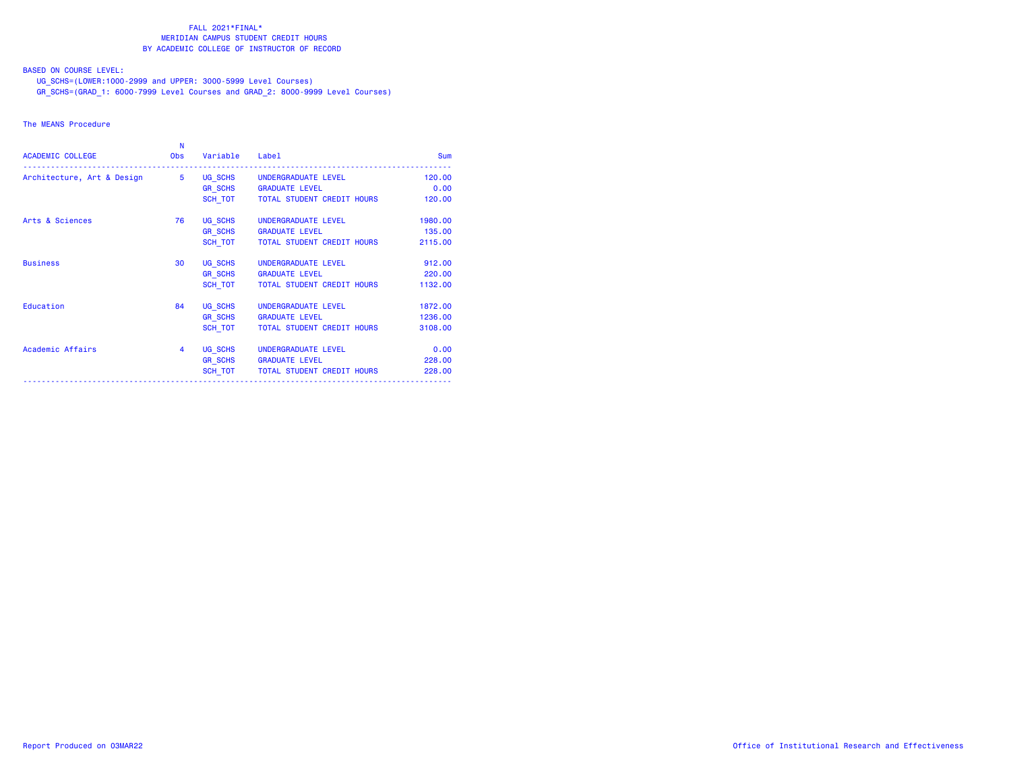BASED ON COURSE LEVEL:

UG\_SCHS=(LOWER:1000-2999 and UPPER: 3000-5999 Level Courses)

GR\_SCHS=(GRAD\_1: 6000-7999 Level Courses and GRAD\_2: 8000-9999 Level Courses)

## The MEANS Procedure

| <b>ACADEMIC COLLEGE</b>                                  | N<br><b>Obs</b> | Variable | Label                                | <b>Sum</b> |
|----------------------------------------------------------|-----------------|----------|--------------------------------------|------------|
| Architecture, Art & Design 5 UG SCHS UNDERGRADUATE LEVEL |                 |          |                                      | 120,00     |
|                                                          |                 |          | GR SCHS GRADUATE LEVEL               | 0.00       |
|                                                          |                 |          | SCH TOT TOTAL STUDENT CREDIT HOURS   | 120.00     |
| Arts & Sciences                                          | 76              |          | UG SCHS UNDERGRADUATE LEVEL          | 1980.00    |
|                                                          |                 |          | GR SCHS GRADUATE LEVEL               | 135.00     |
|                                                          |                 |          | SCH TOT TOTAL STUDENT CREDIT HOURS   | 2115.00    |
| <b>Business</b>                                          | 30              |          | UG SCHS UNDERGRADUATE LEVEL          | 912.00     |
|                                                          |                 |          | GR SCHS GRADUATE LEVEL               | 220,00     |
|                                                          |                 |          | SCH TOT   TOTAL STUDENT CREDIT HOURS | 1132.00    |
| Education                                                | 84              |          | UG SCHS UNDERGRADUATE LEVEL          | 1872.00    |
|                                                          |                 |          | GR_SCHS GRADUATE LEVEL               | 1236.00    |
|                                                          |                 | SCH TOT  | TOTAL STUDENT CREDIT HOURS           | 3108.00    |
| Academic Affairs                                         | $\overline{4}$  |          | UG SCHS UNDERGRADUATE LEVEL          | 0.00       |
|                                                          |                 |          | GR SCHS GRADUATE LEVEL               | 228.00     |
|                                                          |                 | SCH TOT  | TOTAL STUDENT CREDIT HOURS           | 228.00     |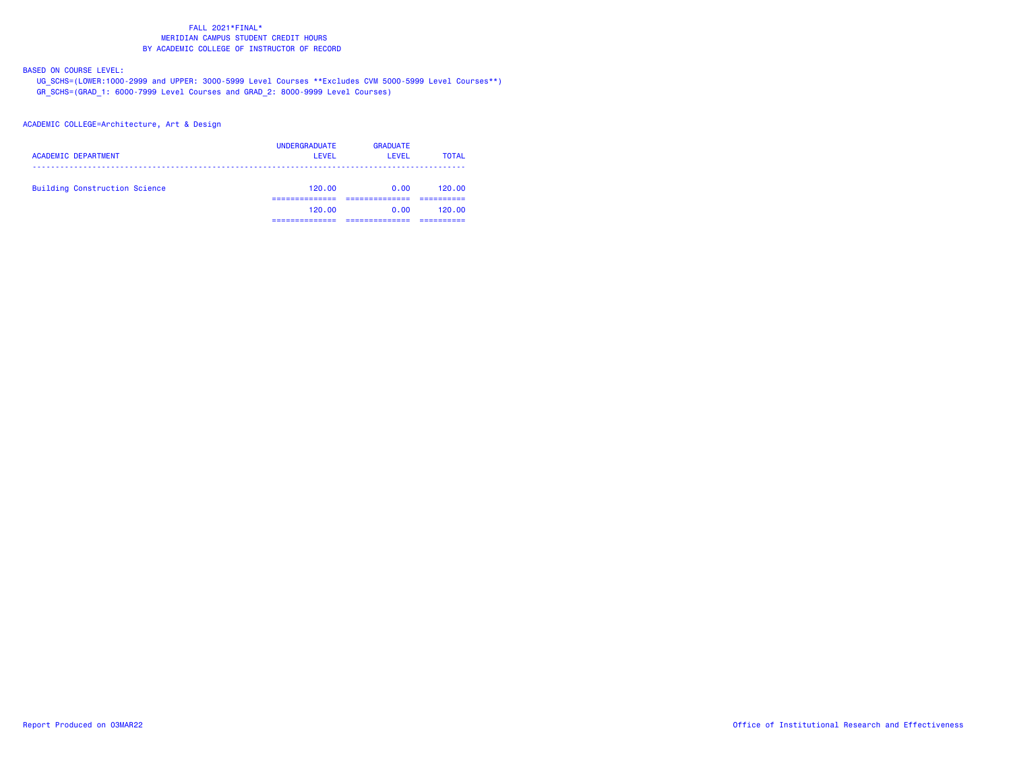BASED ON COURSE LEVEL:

 UG\_SCHS=(LOWER:1000-2999 and UPPER: 3000-5999 Level Courses \*\*Excludes CVM 5000-5999 Level Courses\*\*) GR\_SCHS=(GRAD\_1: 6000-7999 Level Courses and GRAD\_2: 8000-9999 Level Courses)

ACADEMIC COLLEGE=Architecture, Art & Design

| <b>ACADEMIC DEPARTMENT</b>           | <b>UNDERGRADUATE</b><br>LEVEL | <b>GRADUATE</b><br>LEVEL | <b>TOTAL</b> |
|--------------------------------------|-------------------------------|--------------------------|--------------|
| <b>Building Construction Science</b> | 120.00                        | 0.00                     | 120.00       |
|                                      | 120.00                        | 0.00                     | 120.00       |
|                                      |                               |                          |              |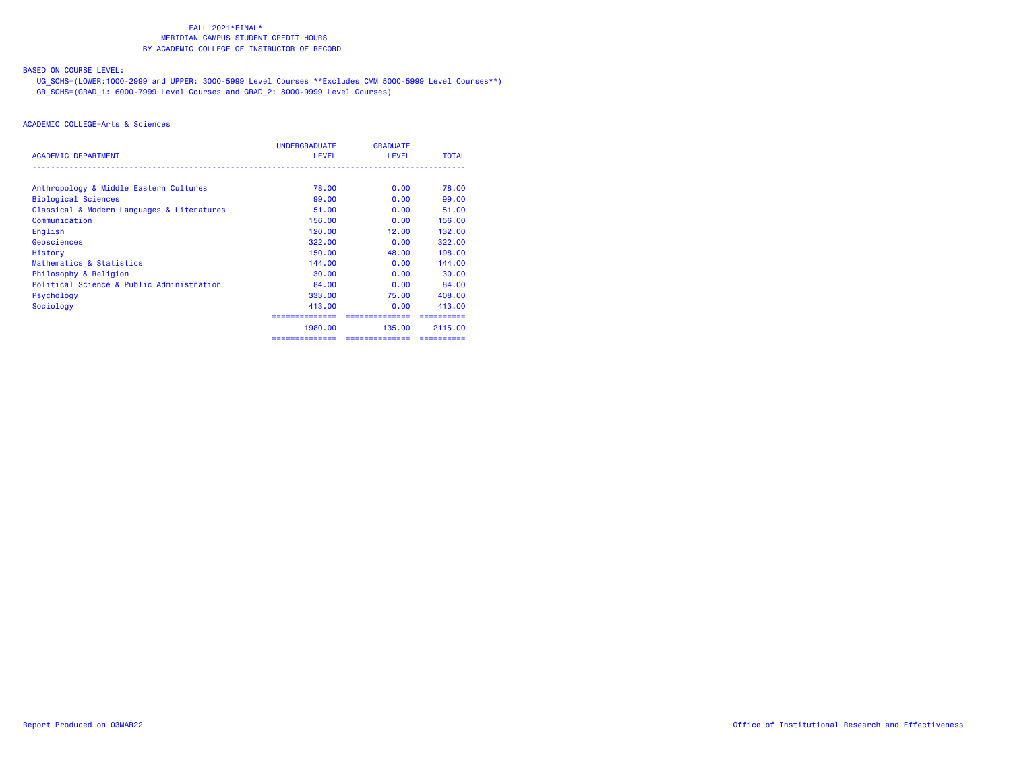# BASED ON COURSE LEVEL:

 UG\_SCHS=(LOWER:1000-2999 and UPPER: 3000-5999 Level Courses \*\*Excludes CVM 5000-5999 Level Courses\*\*) GR\_SCHS=(GRAD\_1: 6000-7999 Level Courses and GRAD\_2: 8000-9999 Level Courses)

|                                            | <b>UNDERGRADUATE</b> | <b>GRADUATE</b> |              |
|--------------------------------------------|----------------------|-----------------|--------------|
| <b>ACADEMIC DEPARTMENT</b>                 | <b>LEVEL</b>         | <b>LEVEL</b>    | <b>TOTAL</b> |
| Anthropology & Middle Eastern Cultures     | 78.00                | 0.00            | 78.00        |
| <b>Biological Sciences</b>                 | 99.00                | 0.00            | 99.00        |
| Classical & Modern Languages & Literatures | 51.00                | 0.00            | 51.00        |
| Communication                              | 156.00               | 0.00            | 156.00       |
| English                                    | 120.00               | 12.00           | 132,00       |
| Geosciences                                | 322,00               | 0.00            | 322,00       |
| History                                    | 150.00               | 48.00           | 198,00       |
| Mathematics & Statistics                   | 144.00               | 0.00            | 144.00       |
| Philosophy & Religion                      | 30,00                | 0.00            | 30.00        |
| Political Science & Public Administration  | 84.00                | 0.00            | 84.00        |
| Psychology                                 | 333,00               | 75.00           | 408,00       |
| Sociology                                  | 413,00               | 0.00            | 413,00       |
|                                            |                      | -------------   |              |
|                                            | 1980.00              | 135,00          | 2115.00      |
|                                            | ==============       | ==============  | ==========   |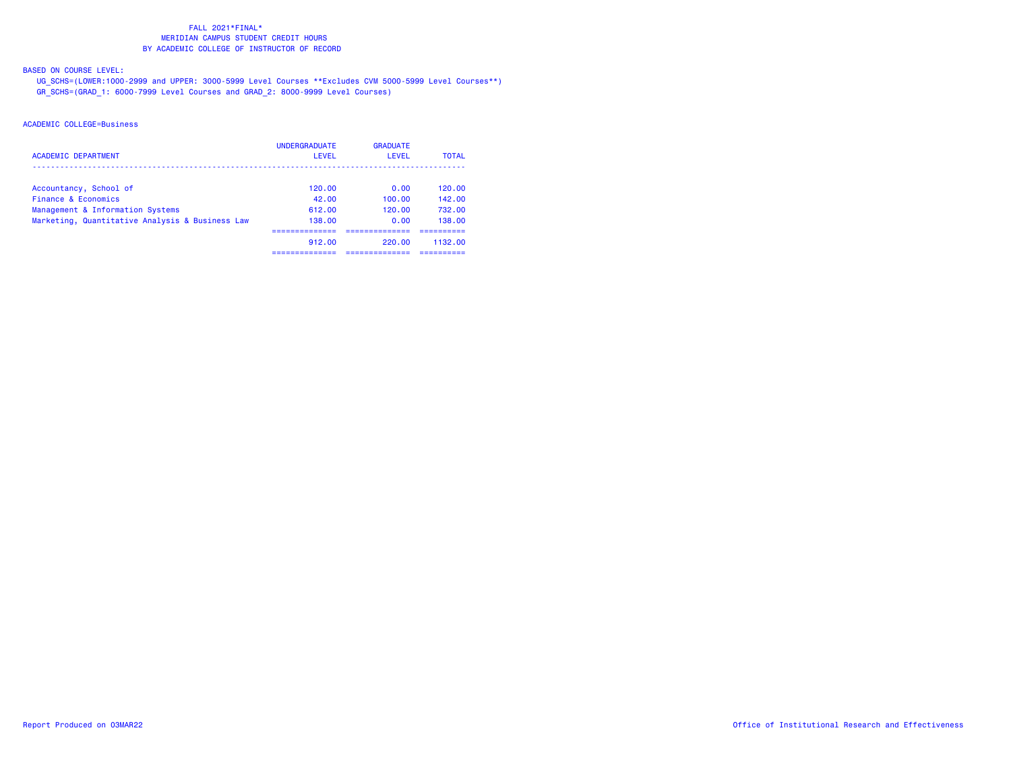BASED ON COURSE LEVEL:

 UG\_SCHS=(LOWER:1000-2999 and UPPER: 3000-5999 Level Courses \*\*Excludes CVM 5000-5999 Level Courses\*\*) GR\_SCHS=(GRAD\_1: 6000-7999 Level Courses and GRAD\_2: 8000-9999 Level Courses)

| <b>ACADEMIC DEPARTMENT</b>                      | <b>UNDERGRADUATE</b><br>LEVEL | <b>GRADUATE</b><br>LEVEL | <b>TOTAL</b> |
|-------------------------------------------------|-------------------------------|--------------------------|--------------|
| Accountancy, School of                          | 120.00                        | 0.00                     | 120.00       |
| Finance & Economics                             | 42.00                         | 100.00                   | 142.00       |
| Management & Information Systems                | 612.00                        | 120.00                   | 732.00       |
| Marketing, Quantitative Analysis & Business Law | 138.00                        | 0.00                     | 138.00       |
|                                                 | 912.00                        | 220.00                   | 1132.00      |
|                                                 |                               |                          |              |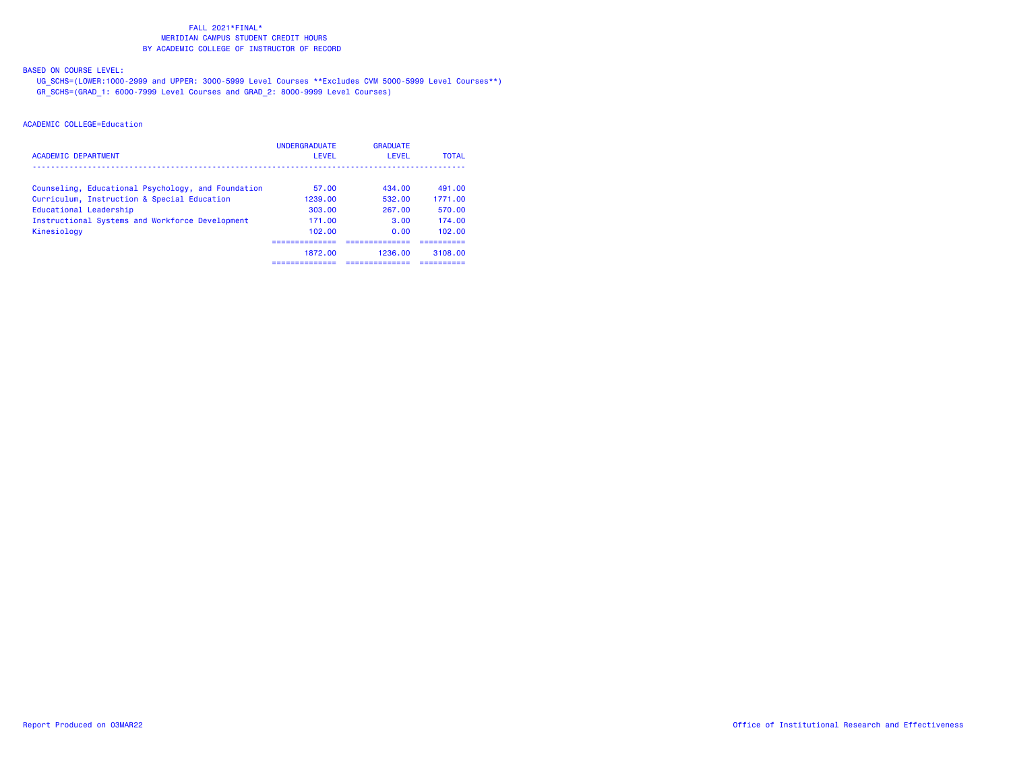BASED ON COURSE LEVEL:

 UG\_SCHS=(LOWER:1000-2999 and UPPER: 3000-5999 Level Courses \*\*Excludes CVM 5000-5999 Level Courses\*\*) GR\_SCHS=(GRAD\_1: 6000-7999 Level Courses and GRAD\_2: 8000-9999 Level Courses)

| ACADEMIC DEPARTMENT                                | <b>UNDERGRADUATE</b><br>LEVEL | <b>GRADUATE</b><br>LEVEL | <b>TOTAL</b> |
|----------------------------------------------------|-------------------------------|--------------------------|--------------|
| Counseling, Educational Psychology, and Foundation | 57.00                         | 434.00                   | 491.00       |
| Curriculum, Instruction & Special Education        | 1239.00                       | 532.00                   | 1771.00      |
| Educational Leadership                             | 303.00                        | 267.00                   | 570.00       |
| Instructional Systems and Workforce Development    | 171.00                        | 3.00                     | 174.00       |
| Kinesiology                                        | 102.00                        | 0.00                     | 102.00       |
|                                                    |                               |                          |              |
|                                                    | 1872.00                       | 1236.00                  | 3108.00      |
|                                                    |                               |                          |              |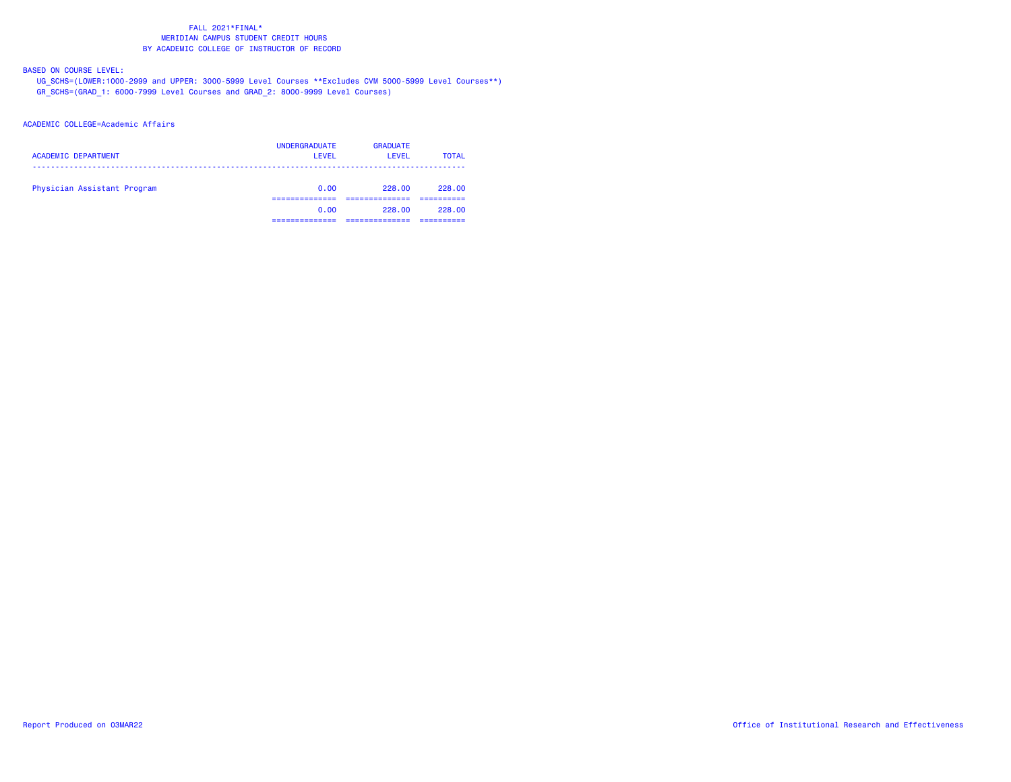BASED ON COURSE LEVEL:

 UG\_SCHS=(LOWER:1000-2999 and UPPER: 3000-5999 Level Courses \*\*Excludes CVM 5000-5999 Level Courses\*\*) GR\_SCHS=(GRAD\_1: 6000-7999 Level Courses and GRAD\_2: 8000-9999 Level Courses)

### ACADEMIC COLLEGE=Academic Affairs

| <b>ACADEMIC DEPARTMENT</b>  | <b>UNDERGRADUATE</b><br><b>LEVEL</b> | <b>GRADUATE</b><br>LEVEL | <b>TOTAL</b>         |
|-----------------------------|--------------------------------------|--------------------------|----------------------|
| Physician Assistant Program | 0.00                                 | 228.00                   | 228.00               |
|                             | 0.00<br>._____________               | 228.00                   | 228.00<br>__________ |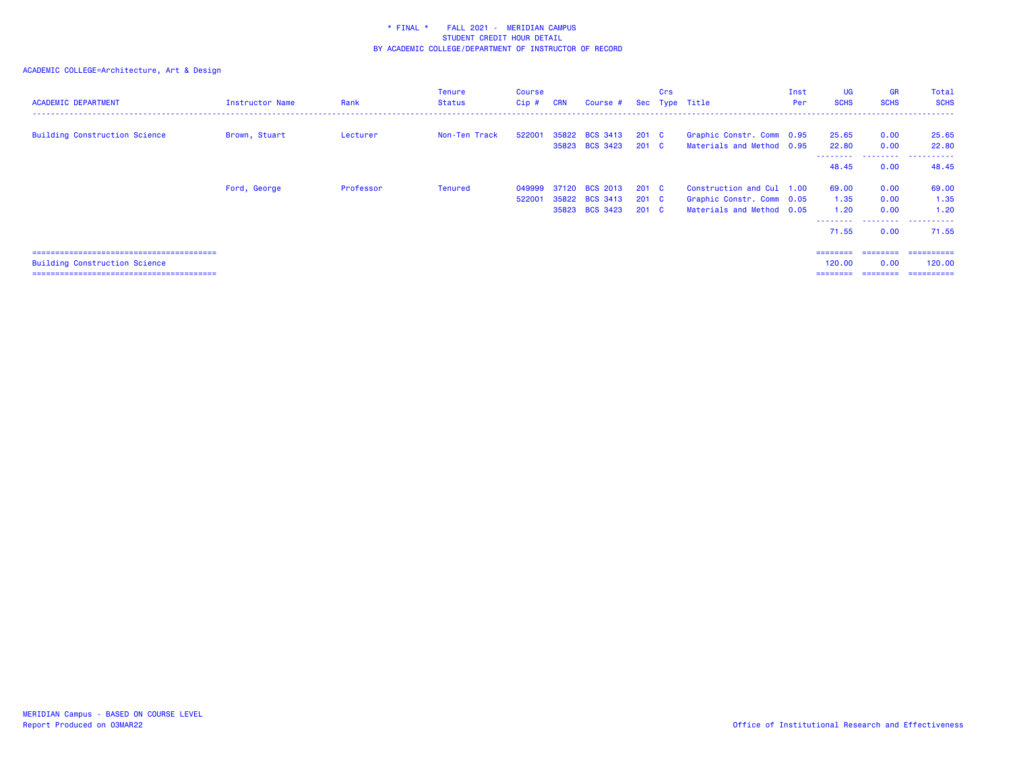# ACADEMIC COLLEGE=Architecture, Art & Design

| <b>ACADEMIC DEPARTMENT</b>           | Instructor Name | Rank      | <b>Tenure</b><br><b>Status</b> | Course<br>Cip# | <b>CRN</b> | Course #        |               | Crs | Sec Type Title            | Inst<br>Per | <b>UG</b><br><b>SCHS</b> | <b>GR</b><br><b>SCHS</b> | Total<br><b>SCHS</b> |
|--------------------------------------|-----------------|-----------|--------------------------------|----------------|------------|-----------------|---------------|-----|---------------------------|-------------|--------------------------|--------------------------|----------------------|
| <b>Building Construction Science</b> | Brown, Stuart   | Lecturer  | Non-Ten Track                  | 522001         |            | 35822 BCS 3413  | $201 \quad C$ |     | Graphic Constr. Comm 0.95 |             | 25.65                    | 0.00                     | 25.65                |
|                                      |                 |           |                                |                |            | 35823 BCS 3423  | 201 C         |     | Materials and Method 0.95 |             | 22.80                    | 0.00                     | 22.80                |
|                                      |                 |           |                                |                |            |                 |               |     |                           |             | --------<br>48.45        | ---------<br>0.00        | .<br>48.45           |
|                                      | Ford, George    | Professor | Tenured                        | 049999         | 37120      | <b>BCS 2013</b> | $201 \quad C$ |     | Construction and Cul 1.00 |             | 69.00                    | 0.00                     | 69.00                |
|                                      |                 |           |                                | 522001         |            | 35822 BCS 3413  | 201 C         |     | Graphic Constr. Comm 0.05 |             | 1.35                     | 0.00                     | 1.35                 |
|                                      |                 |           |                                |                |            | 35823 BCS 3423  | $201$ C       |     | Materials and Method 0.05 |             | 1.20                     | 0.00                     | 1.20                 |
|                                      |                 |           |                                |                |            |                 |               |     |                           |             | --------<br>71.55        | 0.00                     | .<br>71.55           |
|                                      |                 |           |                                |                |            |                 |               |     |                           |             | ========                 | ---------                | ==========           |
| <b>Building Construction Science</b> |                 |           |                                |                |            |                 |               |     |                           |             | 120.00                   | 0.00                     | 120,00               |
|                                      |                 |           |                                |                |            |                 |               |     |                           |             | ========                 |                          | ==========           |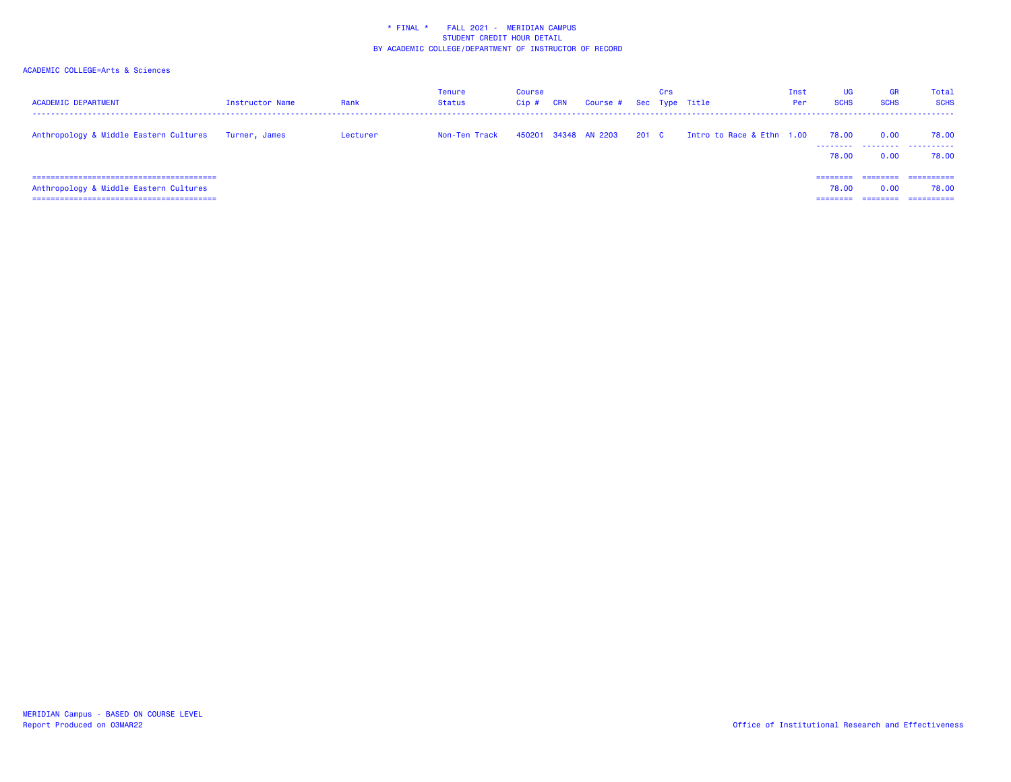| <b>ACADEMIC DEPARTMENT</b>                                                | <b>Instructor Name</b> | Rank     | Tenure<br><b>Status</b> | Course<br>Cip# | <b>CRN</b> | Course # Sec Type Title |       | Crs |                           | Inst<br>Per | UG<br><b>SCHS</b>   | <b>GR</b><br><b>SCHS</b> | Total<br><b>SCHS</b>              |
|---------------------------------------------------------------------------|------------------------|----------|-------------------------|----------------|------------|-------------------------|-------|-----|---------------------------|-------------|---------------------|--------------------------|-----------------------------------|
| Anthropology & Middle Eastern Cultures                                    | Turner, James          | Lecturer | Non-Ten Track           |                |            | 450201 34348 AN 2203    | 201 C |     | Intro to Race & Ethn 1.00 |             | 78.00<br>.<br>78.00 | 0.00<br>.<br>0.00        | 78.00<br>.<br>78.00               |
| Anthropology & Middle Eastern Cultures<br>_______________________________ |                        |          |                         |                |            |                         |       |     |                           |             | ========<br>78.00   | ---------<br>0.00        | ==========<br>78.00<br>========== |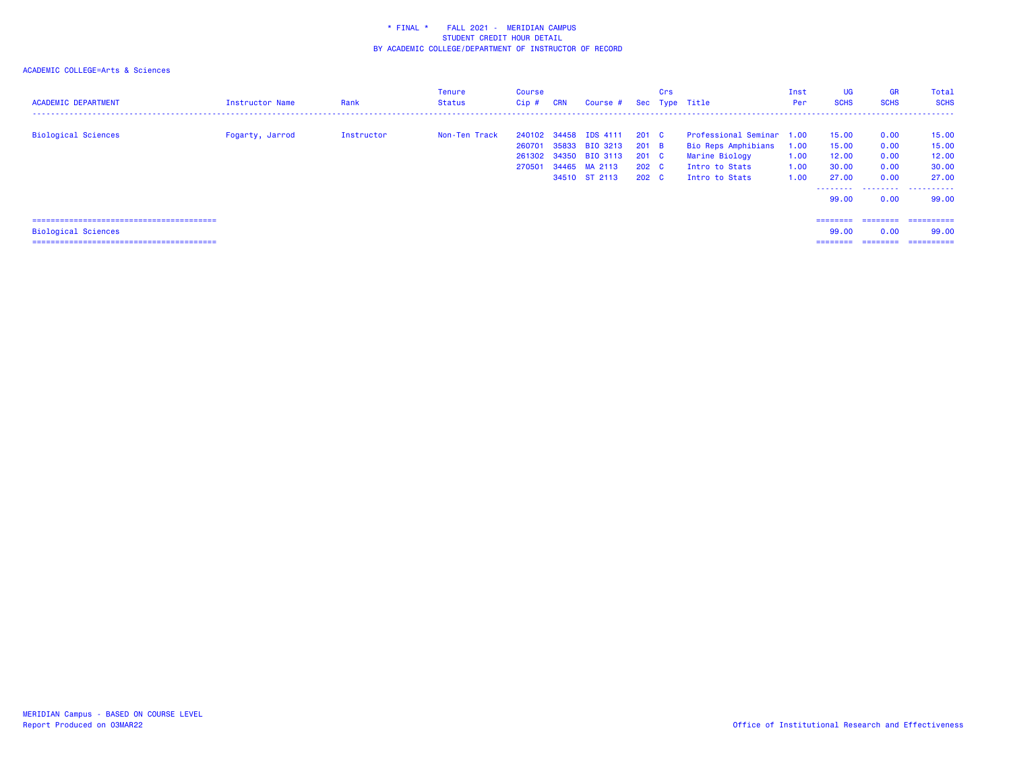| <b>ACADEMIC DEPARTMENT</b> | Instructor Name | Rank       | Tenure<br><b>Status</b> | Course<br>$Cip$ # | <b>CRN</b> | Course #                                                                                           |                                                           | Crs | Sec Type Title                                                                                         | Inst<br>Per                  | <b>UG</b><br><b>SCHS</b>                  | <b>GR</b><br><b>SCHS</b>             | Total<br><b>SCHS</b>                                       |
|----------------------------|-----------------|------------|-------------------------|-------------------|------------|----------------------------------------------------------------------------------------------------|-----------------------------------------------------------|-----|--------------------------------------------------------------------------------------------------------|------------------------------|-------------------------------------------|--------------------------------------|------------------------------------------------------------|
| Biological Sciences        | Fogarty, Jarrod | Instructor | Non-Ten Track           | 260701<br>270501  |            | 240102 34458 IDS 4111<br>35833 BIO 3213<br>261302 34350 BIO 3113<br>34465 MA 2113<br>34510 ST 2113 | 201 C<br>201 B<br>201 C<br>$202 \quad C$<br>$202 \quad C$ |     | Professional Seminar 1.00<br>Bio Reps Amphibians<br>Marine Biology<br>Intro to Stats<br>Intro to Stats | 1.00<br>1.00<br>1.00<br>1.00 | 15.00<br>15.00<br>12.00<br>30.00<br>27.00 | 0.00<br>0.00<br>0.00<br>0.00<br>0.00 | 15.00<br>15.00<br>12.00<br>30.00<br>27.00                  |
| <b>Biological Sciences</b> |                 |            |                         |                   |            |                                                                                                    |                                                           |     |                                                                                                        |                              | --------<br>99.00<br>========<br>99.00    | 0.00<br>========<br>0.00             | _________________________<br>99.00<br>-----------<br>99.00 |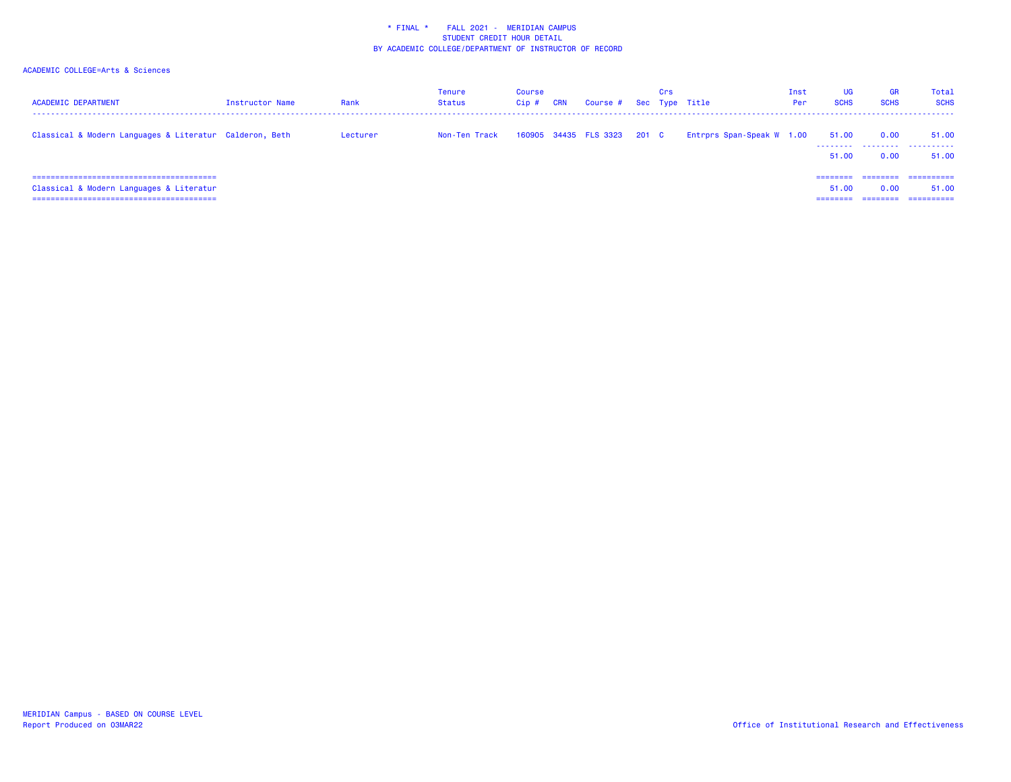| <b>ACADEMIC DEPARTMENT</b>                                                 | <b>Instructor Name</b> | Rank     | Tenure<br><b>Status</b> | Course<br>Cip# | <b>CRN</b> | Course # Sec Type Title     | Crs |                           | Inst<br>Per | UG<br><b>SCHS</b>   | <b>GR</b><br><b>SCHS</b> | Total<br><b>SCHS</b>              |
|----------------------------------------------------------------------------|------------------------|----------|-------------------------|----------------|------------|-----------------------------|-----|---------------------------|-------------|---------------------|--------------------------|-----------------------------------|
| Classical & Modern Languages & Literatur Calderon, Beth                    |                        | Lecturer | Non-Ten Track           |                |            | 160905 34435 FLS 3323 201 C |     | Entrprs Span-Speak W 1.00 |             | 51.00<br>.<br>51.00 | 0.00<br>.<br>0.00        | 51.00<br>.<br>51.00               |
| Classical & Modern Languages & Literatur<br>------------------------------ |                        |          |                         |                |            |                             |     |                           |             | ========<br>51.00   | ========<br>0.00         | ==========<br>51.00<br>========== |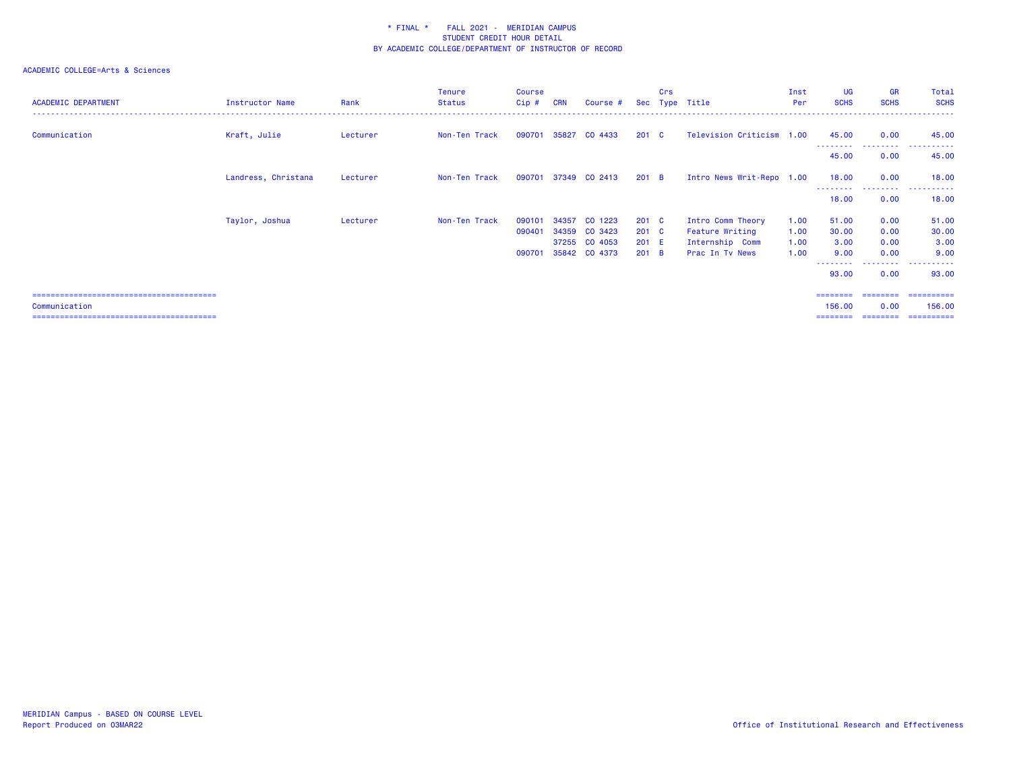| <b>ACADEMIC DEPARTMENT</b> | <b>Instructor Name</b> | Rank     | <b>Tenure</b><br><b>Status</b> | <b>Course</b><br>Cip#      | <b>CRN</b>     | Course #                                             |                                                    | Crs | Sec Type Title                                                             | Inst<br>Per                  | UG<br><b>SCHS</b>                       | <b>GR</b><br><b>SCHS</b>                         | Total<br><b>SCHS</b>                                   |
|----------------------------|------------------------|----------|--------------------------------|----------------------------|----------------|------------------------------------------------------|----------------------------------------------------|-----|----------------------------------------------------------------------------|------------------------------|-----------------------------------------|--------------------------------------------------|--------------------------------------------------------|
| Communication              | Kraft, Julie           | Lecturer | Non-Ten Track                  | 090701                     | 35827          | CO 4433                                              | $201 \quad C$                                      |     | Television Criticism 1.00                                                  |                              | 45.00<br>--------                       | 0.00<br>--------                                 | 45.00<br>----------                                    |
|                            |                        |          |                                |                            |                |                                                      |                                                    |     |                                                                            |                              | 45.00                                   | 0.00                                             | 45.00                                                  |
|                            | Landress, Christana    | Lecturer | Non-Ten Track                  | 090701                     |                | 37349 CO 2413                                        | 201 B                                              |     | Intro News Writ-Repo 1.00                                                  |                              | 18.00<br>- - - - - - - -                | 0.00<br>--------                                 | 18.00                                                  |
|                            |                        |          |                                |                            |                |                                                      |                                                    |     |                                                                            |                              | 18.00                                   | 0.00                                             | 18.00                                                  |
|                            | Taylor, Joshua         | Lecturer | Non-Ten Track                  | 090101<br>090401<br>090701 | 34357<br>34359 | CO 1223<br>CO 3423<br>37255 CO 4053<br>35842 CO 4373 | $201 \quad C$<br>$201 \quad C$<br>$201$ E<br>201 B |     | Intro Comm Theory<br>Feature Writing<br>Internship Comm<br>Prac In Tv News | 1.00<br>1.00<br>1.00<br>1.00 | 51.00<br>30.00<br>3.00<br>9.00<br>93.00 | 0.00<br>0.00<br>0.00<br>0.00<br>--------<br>0.00 | 51.00<br>30.00<br>3.00<br>9.00<br>.<br>93.00           |
| Communication              |                        |          |                                |                            |                |                                                      |                                                    |     |                                                                            |                              | 156.00                                  | ========<br>0.00                                 | ==========<br>156,00<br>========= ========= ========== |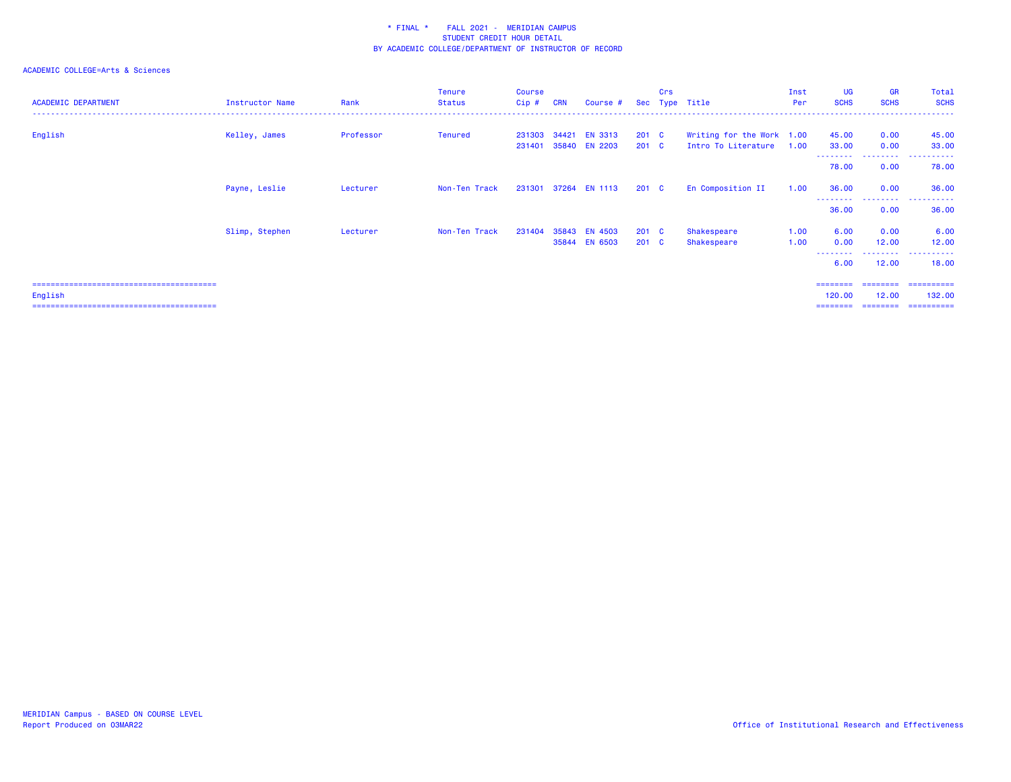### ACADEMIC COLLEGE=Arts & Sciences

| <b>ACADEMIC DEPARTMENT</b> | Instructor Name | Rank      | Tenure<br><b>Status</b> | Course<br>Cip# | <b>CRN</b> | Course #                              |                           | Crs | Sec Type Title                                   | Inst<br>Per  | <b>UG</b><br><b>SCHS</b> | <b>GR</b><br><b>SCHS</b> | Total<br><b>SCHS</b> |
|----------------------------|-----------------|-----------|-------------------------|----------------|------------|---------------------------------------|---------------------------|-----|--------------------------------------------------|--------------|--------------------------|--------------------------|----------------------|
| English                    | Kelley, James   | Professor | Tenured                 | 231401         |            | 231303 34421 EN 3313<br>35840 EN 2203 | 201 C<br>$201 \quad C$    |     | Writing for the Work 1.00<br>Intro To Literature | 1.00         | 45.00<br>33.00           | 0.00<br>0.00             | 45.00<br>33.00       |
|                            |                 |           |                         |                |            |                                       |                           |     |                                                  |              | --------<br>78.00        | 0.00                     | 78.00                |
|                            | Payne, Leslie   | Lecturer  | Non-Ten Track           |                |            | 231301 37264 EN 1113                  | 201 <sub>c</sub>          |     | En Composition II                                | 1.00         | 36.00<br>---------       | 0.00                     | 36.00                |
|                            |                 |           |                         |                |            |                                       |                           |     |                                                  |              | 36.00                    | 0.00                     | 36.00                |
|                            | Slimp, Stephen  | Lecturer  | Non-Ten Track           | 231404         |            | 35843 EN 4503<br>35844 EN 6503        | 201 C<br>201 <sub>c</sub> |     | Shakespeare<br>Shakespeare                       | 1.00<br>1.00 | 6.00<br>0.00             | 0.00<br>12.00<br>.       | 6.00<br>12.00<br>.   |
|                            |                 |           |                         |                |            |                                       |                           |     |                                                  |              | 6.00                     | 12.00                    | 18.00                |

======================================== ======== ======== ==========

English 120.00 12.00 132.00

======================================== ======== ======== ==========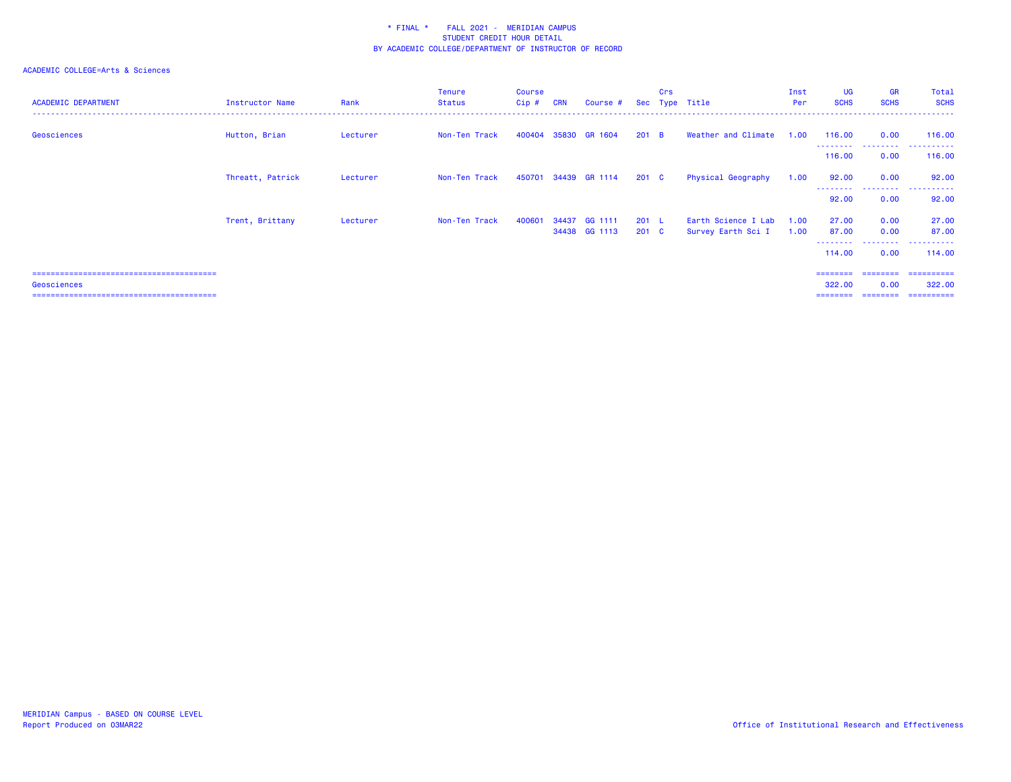| <b>ACADEMIC DEPARTMENT</b> | Instructor Name  | Rank     | <b>Tenure</b><br><b>Status</b> | Course<br>$Cip$ # | <b>CRN</b> | Course #                 |                  | Crs | Sec Type Title                            | Inst<br>Per  | <b>UG</b><br><b>SCHS</b> | <b>GR</b><br><b>SCHS</b> | Total<br><b>SCHS</b>   |
|----------------------------|------------------|----------|--------------------------------|-------------------|------------|--------------------------|------------------|-----|-------------------------------------------|--------------|--------------------------|--------------------------|------------------------|
| Geosciences                | Hutton, Brian    | Lecturer | Non-Ten Track                  | 400404            |            | 35830 GR 1604            | 201 B            |     | Weather and Climate                       | 1.00         | 116.00<br>.              | 0.00<br>.                | 116.00<br>.            |
|                            |                  |          |                                |                   |            |                          |                  |     |                                           |              | 116.00                   | 0.00                     | 116.00                 |
|                            | Threatt, Patrick | Lecturer | Non-Ten Track                  |                   |            | 450701 34439 GR 1114     | 201 C            |     | Physical Geography                        | 1.00         | 92.00                    | 0.00                     | 92.00                  |
|                            |                  |          |                                |                   |            |                          |                  |     |                                           |              | 92.00                    | . <b>.</b> .<br>0.00     | .<br>92.00             |
|                            | Trent, Brittany  | Lecturer | Non-Ten Track                  | 400601            | 34437      | GG 1111<br>34438 GG 1113 | 201 L<br>$201$ C |     | Earth Science I Lab<br>Survey Earth Sci I | 1.00<br>1.00 | 27.00<br>87.00           | 0.00<br>0.00             | 27.00<br>87.00         |
|                            |                  |          |                                |                   |            |                          |                  |     |                                           |              | --------<br>114.00       | ---------<br>0.00        | .<br>114.00            |
| Geosciences                |                  |          |                                |                   |            |                          |                  |     |                                           |              | ========<br>322,00       | ========<br>0.00         | - ==========<br>322,00 |
|                            |                  |          |                                |                   |            |                          |                  |     |                                           |              |                          | ========                 | -----------            |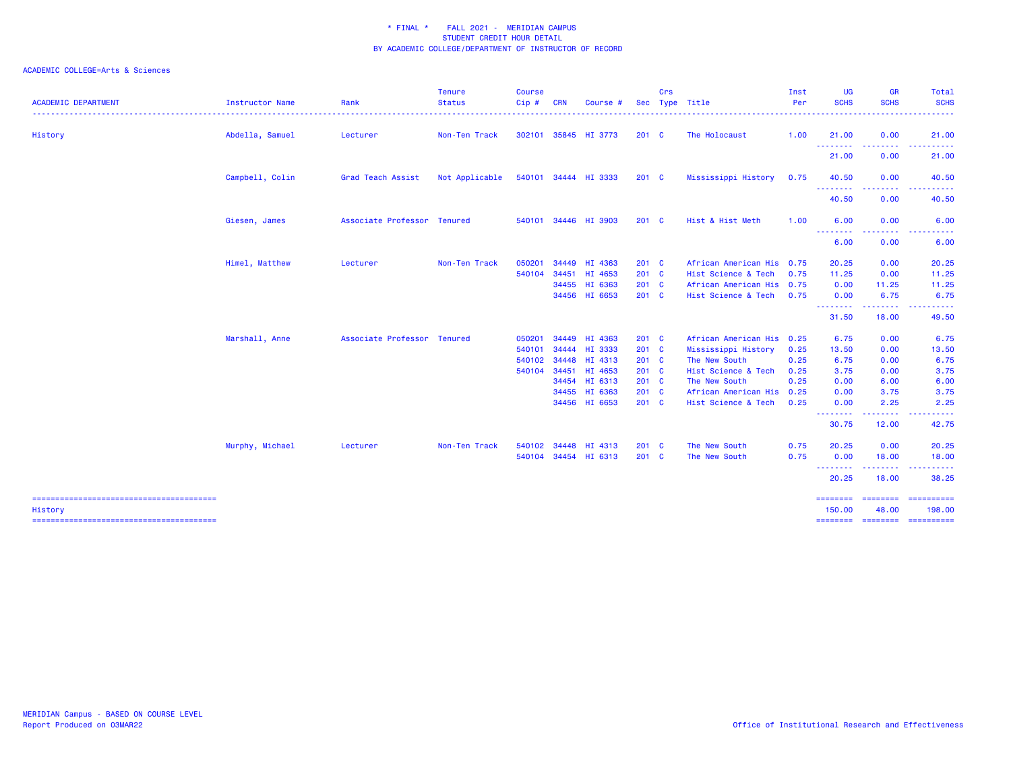| <b>ACADEMIC DEPARTMENT</b> | Instructor Name | Rank                        | <b>Tenure</b><br><b>Status</b> | Course<br>Cip# | <b>CRN</b> | Course               | <b>Sec</b>    | Crs | Type Title                | Inst<br>Per | <b>UG</b><br><b>SCHS</b> | <b>GR</b><br><b>SCHS</b><br>.                                                                                                                                 | Total<br><b>SCHS</b><br>. <u>.</u> . |
|----------------------------|-----------------|-----------------------------|--------------------------------|----------------|------------|----------------------|---------------|-----|---------------------------|-------------|--------------------------|---------------------------------------------------------------------------------------------------------------------------------------------------------------|--------------------------------------|
| History                    | Abdella, Samuel | Lecturer                    | Non-Ten Track                  | 302101         |            | 35845 HI 3773        | $201$ C       |     | The Holocaust             | 1.00        | 21.00                    | 0.00                                                                                                                                                          | 21.00                                |
|                            |                 |                             |                                |                |            |                      |               |     |                           |             | .<br>21.00               | <u> - - - - - - - -</u><br>0.00                                                                                                                               | .<br>21.00                           |
|                            | Campbell, Colin | Grad Teach Assist           | Not Applicable                 |                |            | 540101 34444 HI 3333 | $201$ C       |     | Mississippi History       | 0.75        | 40.50                    | 0.00                                                                                                                                                          | 40.50                                |
|                            |                 |                             |                                |                |            |                      |               |     |                           |             | ---------<br>40.50       | $\frac{1}{2} \left( \frac{1}{2} \right) \left( \frac{1}{2} \right) \left( \frac{1}{2} \right)$<br>0.00                                                        | 40.50                                |
|                            | Giesen, James   | Associate Professor Tenured |                                | 540101         |            | 34446 HI 3903        | $201$ C       |     | Hist & Hist Meth          | 1.00        | 6.00                     | 0.00                                                                                                                                                          | 6.00                                 |
|                            |                 |                             |                                |                |            |                      |               |     |                           |             | <u>.</u><br>6.00         | 0.00                                                                                                                                                          | 6.00                                 |
|                            | Himel, Matthew  | Lecturer                    | Non-Ten Track                  | 050201         |            | 34449 HI 4363        | $201 \quad C$ |     | African American His 0.75 |             | 20.25                    | 0.00                                                                                                                                                          | 20.25                                |
|                            |                 |                             |                                | 540104         | 34451      | HI 4653              | 201 C         |     | Hist Science & Tech       | 0.75        | 11.25                    | 0.00                                                                                                                                                          | 11.25                                |
|                            |                 |                             |                                |                |            | 34455 HI 6363        | 201 C         |     | African American His 0.75 |             | 0.00                     | 11.25                                                                                                                                                         | 11.25                                |
|                            |                 |                             |                                |                |            | 34456 HI 6653        | 201 C         |     | Hist Science & Tech       | 0.75        | 0.00<br><b></b>          | 6.75<br><u>.</u>                                                                                                                                              | 6.75                                 |
|                            |                 |                             |                                |                |            |                      |               |     |                           |             | 31.50                    | 18.00                                                                                                                                                         | 49.50                                |
|                            | Marshall, Anne  | Associate Professor Tenured |                                | 050201         |            | 34449 HI 4363        | $201$ C       |     | African American His 0.25 |             | 6.75                     | 0.00                                                                                                                                                          | 6.75                                 |
|                            |                 |                             |                                | 540101         |            | 34444 HI 3333        | 201 C         |     | Mississippi History       | 0.25        | 13.50                    | 0.00                                                                                                                                                          | 13.50                                |
|                            |                 |                             |                                | 540102         |            | 34448 HI 4313        | 201 C         |     | The New South             | 0.25        | 6.75                     | 0.00                                                                                                                                                          | 6.75                                 |
|                            |                 |                             |                                | 540104         | 34451      | HI 4653              | $201 \quad C$ |     | Hist Science & Tech       | 0.25        | 3.75                     | 0.00                                                                                                                                                          | 3.75                                 |
|                            |                 |                             |                                |                |            | 34454 HI 6313        | 201 C         |     | The New South             | 0.25        | 0.00                     | 6.00                                                                                                                                                          | 6.00                                 |
|                            |                 |                             |                                |                |            | 34455 HI 6363        | 201 C         |     | African American His      | 0.25        | 0.00                     | 3.75                                                                                                                                                          | 3.75                                 |
|                            |                 |                             |                                |                |            | 34456 HI 6653        | 201 C         |     | Hist Science & Tech       | 0.25        | 0.00                     | 2.25                                                                                                                                                          | 2.25                                 |
|                            |                 |                             |                                |                |            |                      |               |     |                           |             | .<br>30.75               | $\frac{1}{2} \left( \frac{1}{2} \right) \left( \frac{1}{2} \right) \left( \frac{1}{2} \right) \left( \frac{1}{2} \right) \left( \frac{1}{2} \right)$<br>12.00 | 42.75                                |
|                            | Murphy, Michael | Lecturer                    | Non-Ten Track                  | 540102         |            | 34448 HI 4313        | $201 \quad C$ |     | The New South             | 0.75        | 20.25                    | 0.00                                                                                                                                                          | 20.25                                |
|                            |                 |                             |                                | 540104         |            | 34454 HI 6313        | 201 C         |     | The New South             | 0.75        | 0.00                     | 18.00                                                                                                                                                         | 18.00                                |
|                            |                 |                             |                                |                |            |                      |               |     |                           |             | --------<br>20.25        | ------<br>18.00                                                                                                                                               | 38.25                                |
| History                    |                 |                             |                                |                |            |                      |               |     |                           |             | ========<br>150.00       | ========<br>48.00                                                                                                                                             | -----------<br>198.00                |
|                            |                 |                             |                                |                |            |                      |               |     |                           |             | ========                 |                                                                                                                                                               | ===================                  |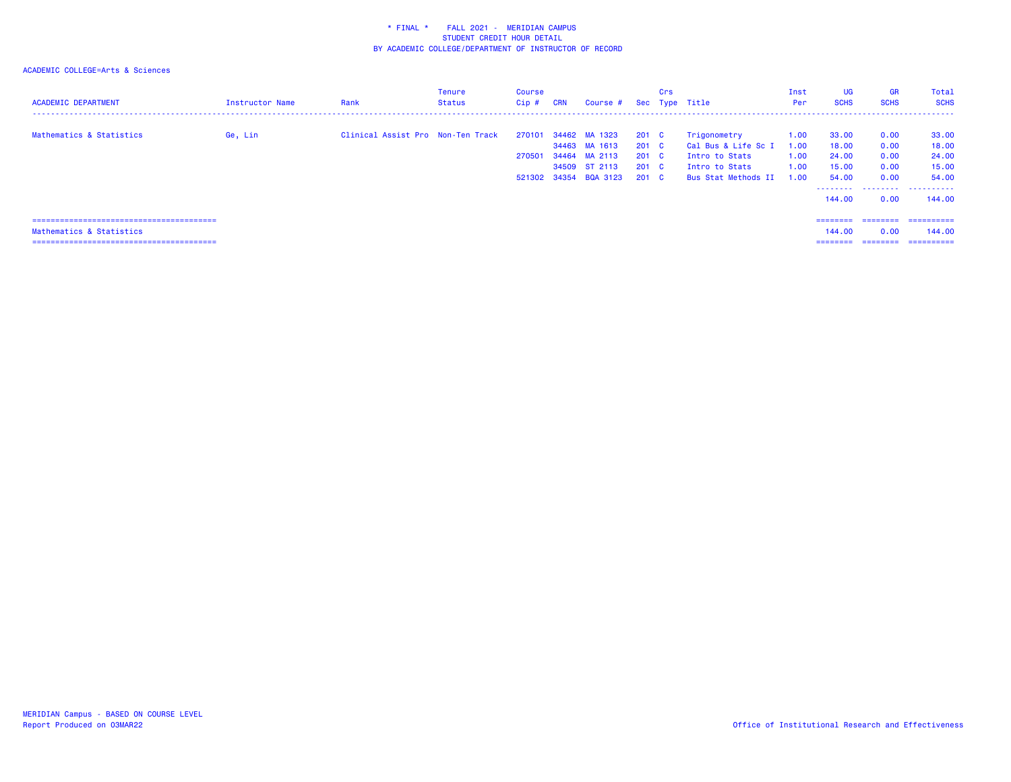| <b>ACADEMIC DEPARTMENT</b> | Instructor Name | Rank                              | Tenure<br><b>Status</b> | Course<br>Cip # | <b>CRN</b> | Course # Sec Type Title                |                        | Crs |                                       | Inst<br>Per  | <b>UG</b><br><b>SCHS</b> | <b>GR</b><br><b>SCHS</b> | Total<br><b>SCHS</b> |
|----------------------------|-----------------|-----------------------------------|-------------------------|-----------------|------------|----------------------------------------|------------------------|-----|---------------------------------------|--------------|--------------------------|--------------------------|----------------------|
| Mathematics & Statistics   | Ge, Lin         | Clinical Assist Pro Non-Ten Track |                         |                 |            | 270101 34462 MA 1323<br>34463 MA 1613  | 201 C<br>$201 \quad C$ |     | Trigonometry<br>Cal Bus & Life Sc I   | 1.00<br>1.00 | 33.00<br>18.00           | 0.00<br>0.00             | 33.00<br>18.00       |
|                            |                 |                                   |                         | 270501          |            | 34464 MA 2113                          | 201 C                  |     | Intro to Stats                        | 1.00         | 24.00                    | 0.00                     | 24.00                |
|                            |                 |                                   |                         |                 |            | 34509 ST 2113<br>521302 34354 BQA 3123 | 201 C<br>$201 \quad C$ |     | Intro to Stats<br>Bus Stat Methods II | 1.00<br>1.00 | 15.00<br>54.00           | 0.00<br>0.00             | 15.00<br>54.00       |
|                            |                 |                                   |                         |                 |            |                                        |                        |     |                                       |              | 144,00                   |                          | <br>144.00           |
|                            |                 |                                   |                         |                 |            |                                        |                        |     |                                       |              |                          | 0.00                     |                      |
|                            |                 |                                   |                         |                 |            |                                        |                        |     |                                       |              | $=$ = = = = = = =        | ========                 | -----------          |
| Mathematics & Statistics   |                 |                                   |                         |                 |            |                                        |                        |     |                                       |              | 144,00                   | 0.00                     | 144,00               |
|                            |                 |                                   |                         |                 |            |                                        |                        |     |                                       |              | ========                 | ========                 | ==========           |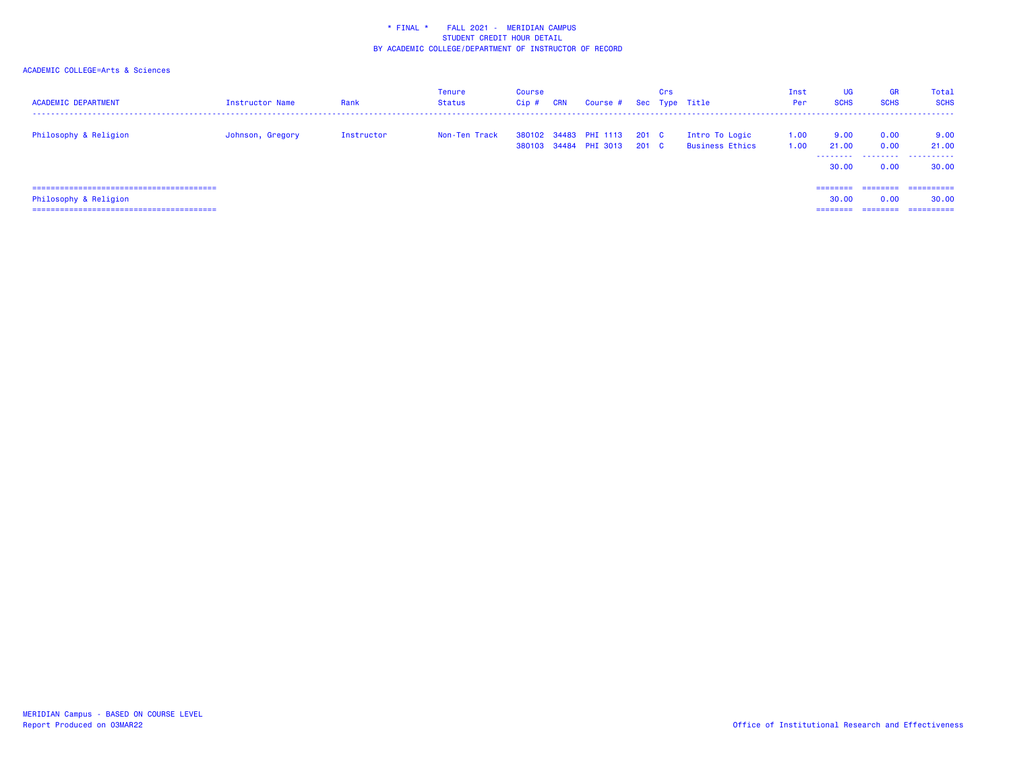| <b>ACADEMIC DEPARTMENT</b>     | <b>Instructor Name</b> | Rank       | <b>Tenure</b><br>Status | Course<br>$Cip$ # | CRN | Course # Sec Type Title                        |                | <b>Crs</b> |                                          | Inst<br>Per  | UG<br><b>SCHS</b> | <b>GR</b><br><b>SCHS</b> | Total<br><b>SCHS</b> |
|--------------------------------|------------------------|------------|-------------------------|-------------------|-----|------------------------------------------------|----------------|------------|------------------------------------------|--------------|-------------------|--------------------------|----------------------|
| Philosophy & Religion          | Johnson, Gregory       | Instructor | Non-Ten Track           |                   |     | 380102 34483 PHI 1113<br>380103 34484 PHI 3013 | 201 C<br>201 C |            | Intro To Logic<br><b>Business Ethics</b> | 1.00<br>1.00 | 9.00<br>21.00     | 0.00<br>0.00             | 9.00<br>21.00        |
|                                |                        |            |                         |                   |     |                                                |                |            |                                          |              | 30.00             | 0.00                     | <br>30.00            |
| ============================== |                        |            |                         |                   |     |                                                |                |            |                                          |              | $= 222222222$     | ========                 | ==========           |
| Philosophy & Religion          |                        |            |                         |                   |     |                                                |                |            |                                          |              | 30.00             | 0.00                     | 30.00                |
|                                |                        |            |                         |                   |     |                                                |                |            |                                          |              | ---------         | ========                 | ==========           |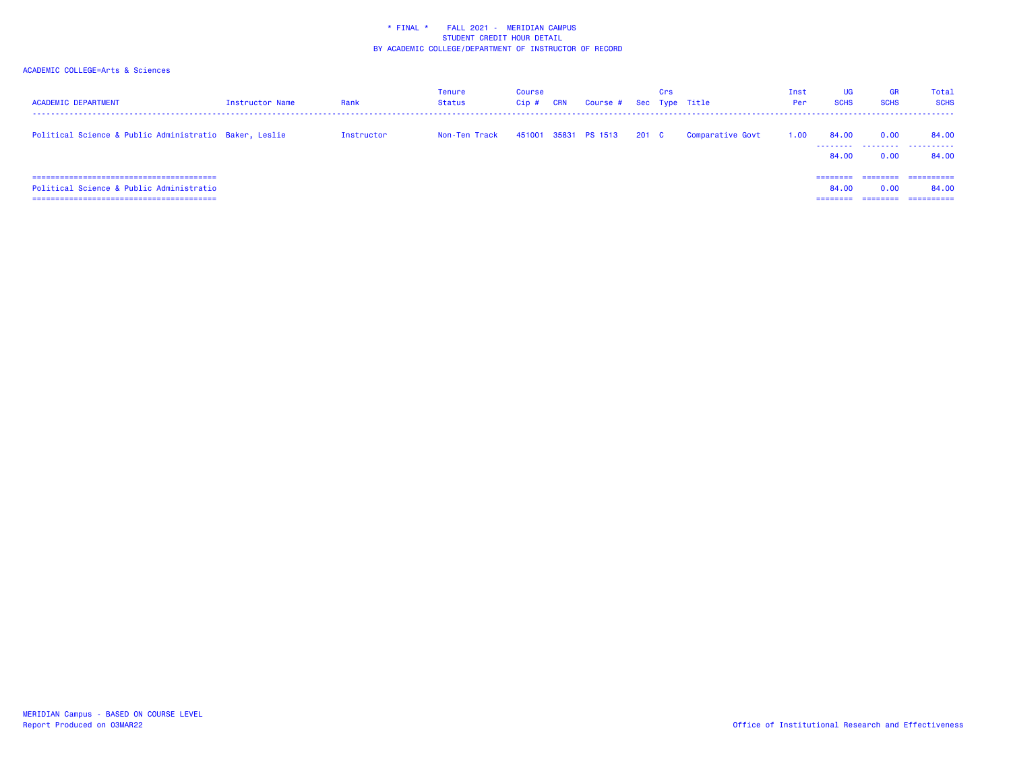| <b>ACADEMIC DEPARTMENT</b>                                                    | Instructor Name | Rank       | <b>Tenure</b><br>Status | Course<br>Cip# | <b>CRN</b> | Course # Sec Type Title |       | Crs |                  | Inst<br>Per | <b>UG</b><br><b>SCHS</b> | <b>GR</b><br><b>SCHS</b> | Total<br><b>SCHS</b>              |
|-------------------------------------------------------------------------------|-----------------|------------|-------------------------|----------------|------------|-------------------------|-------|-----|------------------|-------------|--------------------------|--------------------------|-----------------------------------|
| Political Science & Public Administratio Baker, Leslie                        |                 | Instructor | Non-Ten Track           |                |            | 451001 35831 PS 1513    | 201 C |     | Comparative Govt | 1.00        | 84.00<br>.<br>84.00      | 0.00<br>.<br>0.00        | 84.00<br>.<br>84.00               |
| Political Science & Public Administratio<br>. =============================== |                 |            |                         |                |            |                         |       |     |                  |             | 84.00                    | 0.00                     | ==========<br>84.00<br>========== |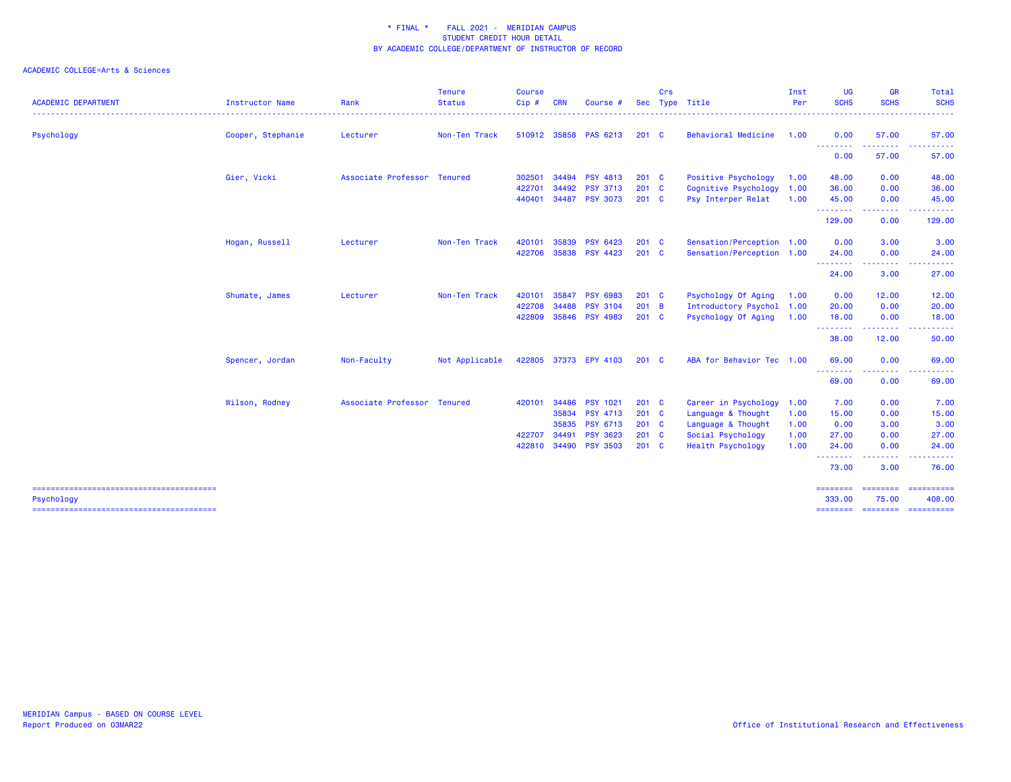| <b>ACADEMIC DEPARTMENT</b> | <b>Instructor Name</b> | Rank                        | <b>Tenure</b><br><b>Status</b> | <b>Course</b><br>$Cip$ # | <b>CRN</b> | Course #        | <b>Sec</b>    | Crs | Type Title                 | Inst<br>Per | UG<br><b>SCHS</b>          | <b>GR</b><br><b>SCHS</b>                                                                                                           | Total<br><b>SCHS</b><br>$\frac{1}{2} \left( \frac{1}{2} \right) \left( \frac{1}{2} \right) \left( \frac{1}{2} \right) \left( \frac{1}{2} \right)$                                                                                                                                                                                                                                                                                                                                                |
|----------------------------|------------------------|-----------------------------|--------------------------------|--------------------------|------------|-----------------|---------------|-----|----------------------------|-------------|----------------------------|------------------------------------------------------------------------------------------------------------------------------------|--------------------------------------------------------------------------------------------------------------------------------------------------------------------------------------------------------------------------------------------------------------------------------------------------------------------------------------------------------------------------------------------------------------------------------------------------------------------------------------------------|
| Psychology                 | Cooper, Stephanie      | Lecturer                    | Non-Ten Track                  | 510912                   |            | 35858 PAS 6213  | $201$ C       |     | <b>Behavioral Medicine</b> | 1.00        | 0.00                       | 57.00                                                                                                                              | 57.00                                                                                                                                                                                                                                                                                                                                                                                                                                                                                            |
|                            |                        |                             |                                |                          |            |                 |               |     |                            |             | .<br>0.00                  | -------<br>57.00                                                                                                                   | .<br>57.00                                                                                                                                                                                                                                                                                                                                                                                                                                                                                       |
|                            | Gier, Vicki            | Associate Professor         | <b>Tenured</b>                 | 302501                   | 34494      | <b>PSY 4813</b> | $201 \quad C$ |     | Positive Psychology        | 1.00        | 48.00                      | 0.00                                                                                                                               | 48.00                                                                                                                                                                                                                                                                                                                                                                                                                                                                                            |
|                            |                        |                             |                                | 422701                   | 34492      | <b>PSY 3713</b> | 201 C         |     | Cognitive Psychology       | 1.00        | 36.00                      | 0.00                                                                                                                               | 36.00                                                                                                                                                                                                                                                                                                                                                                                                                                                                                            |
|                            |                        |                             |                                | 440401                   | 34487      | <b>PSY 3073</b> | $201$ C       |     | Psy Interper Relat         | 1.00        | 45.00                      | 0.00                                                                                                                               | 45.00                                                                                                                                                                                                                                                                                                                                                                                                                                                                                            |
|                            |                        |                             |                                |                          |            |                 |               |     |                            |             | .<br>129.00                | .<br>0.00                                                                                                                          | .<br>129.00                                                                                                                                                                                                                                                                                                                                                                                                                                                                                      |
|                            | Hogan, Russell         | Lecturer                    | Non-Ten Track                  | 420101                   | 35839      | <b>PSY 6423</b> | 201 C         |     | Sensation/Perception 1.00  |             | 0.00                       | 3.00                                                                                                                               | 3.00                                                                                                                                                                                                                                                                                                                                                                                                                                                                                             |
|                            |                        |                             |                                | 422706                   |            | 35838 PSY 4423  | 201 C         |     | Sensation/Perception 1.00  |             | 24.00                      | 0.00                                                                                                                               | 24.00                                                                                                                                                                                                                                                                                                                                                                                                                                                                                            |
|                            |                        |                             |                                |                          |            |                 |               |     |                            |             | - - - - - - - - -<br>24.00 | 3.00                                                                                                                               | 27.00                                                                                                                                                                                                                                                                                                                                                                                                                                                                                            |
|                            | Shumate, James         | Lecturer                    | Non-Ten Track                  | 420101                   | 35847      | <b>PSY 6983</b> | 201 C         |     | Psychology Of Aging        | 1.00        | 0.00                       | 12.00                                                                                                                              | 12.00                                                                                                                                                                                                                                                                                                                                                                                                                                                                                            |
|                            |                        |                             |                                | 422708                   | 34488      | <b>PSY 3104</b> | 201 B         |     | Introductory Psychol       | 1.00        | 20.00                      | 0.00                                                                                                                               | 20.00                                                                                                                                                                                                                                                                                                                                                                                                                                                                                            |
|                            |                        |                             |                                | 422809                   |            | 35846 PSY 4983  | $201$ C       |     | Psychology Of Aging        | 1.00        | 18.00                      | 0.00                                                                                                                               | 18.00                                                                                                                                                                                                                                                                                                                                                                                                                                                                                            |
|                            |                        |                             |                                |                          |            |                 |               |     |                            |             | .<br>38.00                 | $\frac{1}{2} \left( \frac{1}{2} \right) \left( \frac{1}{2} \right) \left( \frac{1}{2} \right) \left( \frac{1}{2} \right)$<br>12.00 | . <b>.</b><br>50.00                                                                                                                                                                                                                                                                                                                                                                                                                                                                              |
|                            | Spencer, Jordan        | Non-Faculty                 | Not Applicable                 | 422805                   | 37373      | EPY 4103        | $201$ C       |     | ABA for Behavior Tec       | 1.00        | 69.00                      | 0.00                                                                                                                               | 69.00                                                                                                                                                                                                                                                                                                                                                                                                                                                                                            |
|                            |                        |                             |                                |                          |            |                 |               |     |                            |             | --------<br>69.00          | .<br>0.00                                                                                                                          | .<br>69.00                                                                                                                                                                                                                                                                                                                                                                                                                                                                                       |
|                            | Wilson, Rodney         | Associate Professor Tenured |                                | 420101                   | 34486      | <b>PSY 1021</b> | $201$ C       |     | Career in Psychology       | 1.00        | 7.00                       | 0.00                                                                                                                               | 7.00                                                                                                                                                                                                                                                                                                                                                                                                                                                                                             |
|                            |                        |                             |                                |                          | 35834      | <b>PSY 4713</b> | 201 C         |     | Language & Thought         | 1.00        | 15.00                      | 0.00                                                                                                                               | 15.00                                                                                                                                                                                                                                                                                                                                                                                                                                                                                            |
|                            |                        |                             |                                |                          | 35835      | <b>PSY 6713</b> | 201 C         |     | Language & Thought         | 1.00        | 0.00                       | 3.00                                                                                                                               | 3.00                                                                                                                                                                                                                                                                                                                                                                                                                                                                                             |
|                            |                        |                             |                                | 422707                   | 34491      | <b>PSY 3623</b> | 201 C         |     | Social Psychology          | 1.00        | 27.00                      | 0.00                                                                                                                               | 27.00                                                                                                                                                                                                                                                                                                                                                                                                                                                                                            |
|                            |                        |                             |                                | 422810                   | 34490      | <b>PSY 3503</b> | $201$ C       |     | <b>Health Psychology</b>   | 1.00        | 24.00                      | 0.00                                                                                                                               | 24.00                                                                                                                                                                                                                                                                                                                                                                                                                                                                                            |
|                            |                        |                             |                                |                          |            |                 |               |     |                            |             | .<br>73.00                 | المتمامين<br>3.00                                                                                                                  | .<br>76.00                                                                                                                                                                                                                                                                                                                                                                                                                                                                                       |
| Psychology                 |                        |                             |                                |                          |            |                 |               |     |                            |             | ========<br>333,00         | ========<br>75.00                                                                                                                  | $\begin{array}{cccccccccc} \multicolumn{2}{c}{} & \multicolumn{2}{c}{} & \multicolumn{2}{c}{} & \multicolumn{2}{c}{} & \multicolumn{2}{c}{} & \multicolumn{2}{c}{} & \multicolumn{2}{c}{} & \multicolumn{2}{c}{} & \multicolumn{2}{c}{} & \multicolumn{2}{c}{} & \multicolumn{2}{c}{} & \multicolumn{2}{c}{} & \multicolumn{2}{c}{} & \multicolumn{2}{c}{} & \multicolumn{2}{c}{} & \multicolumn{2}{c}{} & \multicolumn{2}{c}{} & \multicolumn{2}{c}{} & \multicolumn{2}{c}{} & \mult$<br>408,00 |
|                            |                        |                             |                                |                          |            |                 |               |     |                            |             | <b>SEESSEES</b>            | <b>ESSESSED</b>                                                                                                                    | -----------                                                                                                                                                                                                                                                                                                                                                                                                                                                                                      |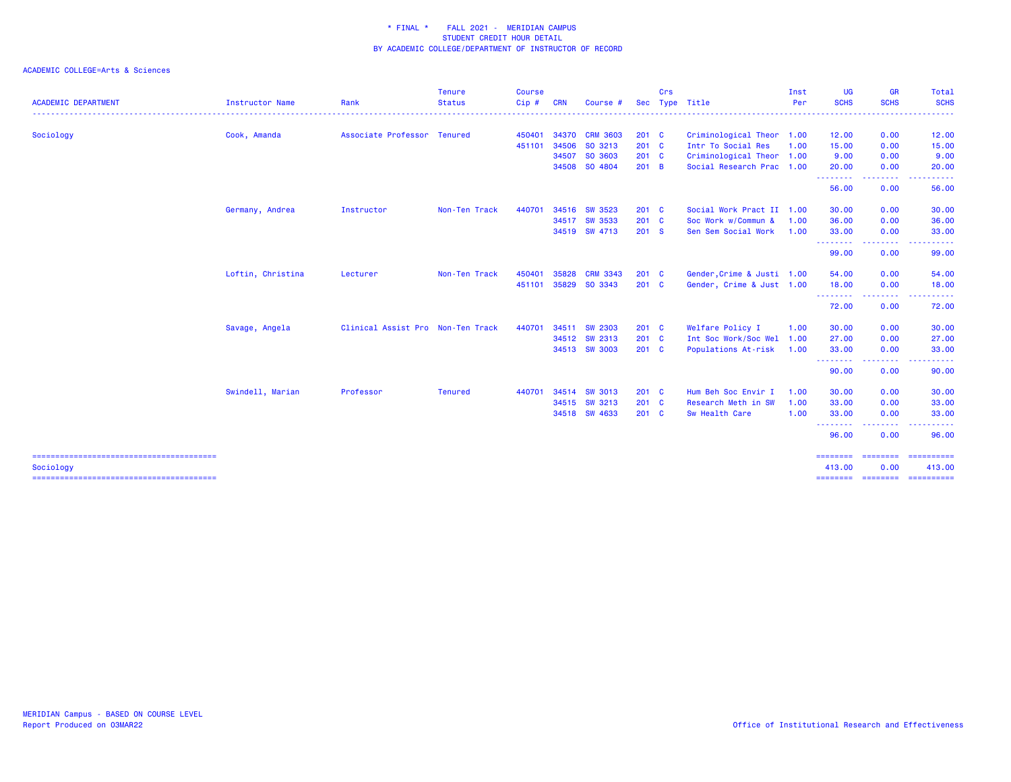| <b>ACADEMIC DEPARTMENT</b> | Instructor Name   | Rank                              | <b>Tenure</b><br><b>Status</b> | <b>Course</b><br>Cip# | <b>CRN</b> | Course #        | Sec           | Crs | Type Title                 | Inst<br>Per | <b>UG</b><br><b>SCHS</b> | <b>GR</b><br><b>SCHS</b>                     | Total<br><b>SCHS</b> |
|----------------------------|-------------------|-----------------------------------|--------------------------------|-----------------------|------------|-----------------|---------------|-----|----------------------------|-------------|--------------------------|----------------------------------------------|----------------------|
|                            |                   |                                   |                                |                       |            |                 |               |     | -------------------------- |             |                          | . <u>.</u> .                                 | .                    |
| Sociology                  | Cook, Amanda      | Associate Professor Tenured       |                                | 450401                |            | 34370 CRM 3603  | $201 \quad C$ |     | Criminological Theor 1.00  |             | 12.00                    | 0.00                                         | 12.00                |
|                            |                   |                                   |                                | 451101                | 34506      | SO 3213         | 201 C         |     | Intr To Social Res         | 1.00        | 15.00                    | 0.00                                         | 15.00                |
|                            |                   |                                   |                                |                       | 34507      | SO 3603         | $201$ C       |     | Criminological Theor 1.00  |             | 9.00                     | 0.00                                         | 9.00                 |
|                            |                   |                                   |                                |                       | 34508      | SO 4804         | $201$ B       |     | Social Research Prac 1.00  |             | 20.00<br>.               | 0.00                                         | 20.00                |
|                            |                   |                                   |                                |                       |            |                 |               |     |                            |             | 56.00                    | 0.00                                         | 56.00                |
|                            | Germany, Andrea   | Instructor                        | Non-Ten Track                  | 440701                | 34516      | <b>SW 3523</b>  | $201$ C       |     | Social Work Pract II 1.00  |             | 30.00                    | 0.00                                         | 30.00                |
|                            |                   |                                   |                                |                       |            | 34517 SW 3533   | 201 C         |     | Soc Work w/Commun &        | 1.00        | 36.00                    | 0.00                                         | 36.00                |
|                            |                   |                                   |                                |                       |            | 34519 SW 4713   | 201 S         |     | Sen Sem Social Work        | 1.00        | 33.00                    | 0.00                                         | 33.00                |
|                            |                   |                                   |                                |                       |            |                 |               |     |                            |             | .<br>99.00               | <b><i><u><u> - - - -</u></u></i></b><br>0.00 | 99.00                |
|                            | Loftin, Christina | Lecturer                          | Non-Ten Track                  | 450401                | 35828      | <b>CRM 3343</b> | $201$ C       |     | Gender, Crime & Justi 1.00 |             | 54.00                    | 0.00                                         | 54.00                |
|                            |                   |                                   |                                | 451101                |            | 35829 SO 3343   | $201$ C       |     | Gender, Crime & Just 1.00  |             | 18.00                    | 0.00                                         | 18.00                |
|                            |                   |                                   |                                |                       |            |                 |               |     |                            |             | .<br>72.00               | .<br>0.00                                    | 72.00                |
|                            | Savage, Angela    | Clinical Assist Pro Non-Ten Track |                                | 440701                | 34511      | <b>SW 2303</b>  | $201$ C       |     | Welfare Policy I           | 1.00        | 30.00                    | 0.00                                         | 30.00                |
|                            |                   |                                   |                                |                       |            | 34512 SW 2313   | 201 C         |     | Int Soc Work/Soc Wel 1.00  |             | 27.00                    | 0.00                                         | 27.00                |
|                            |                   |                                   |                                |                       |            | 34513 SW 3003   | $201$ C       |     | Populations At-risk        | 1.00        | 33.00                    | 0.00                                         | 33.00                |
|                            |                   |                                   |                                |                       |            |                 |               |     |                            |             | .<br>90.00               | .<br>0.00                                    | 90.00                |
|                            | Swindell, Marian  | Professor                         | <b>Tenured</b>                 | 440701                | 34514      | <b>SW 3013</b>  | $201$ C       |     | Hum Beh Soc Envir I        | 1.00        | 30.00                    | 0.00                                         | 30.00                |
|                            |                   |                                   |                                |                       |            | 34515 SW 3213   | 201 C         |     | Research Meth in SW        | 1.00        | 33.00                    | 0.00                                         | 33.00                |
|                            |                   |                                   |                                |                       |            | 34518 SW 4633   | $201$ C       |     | Sw Health Care             | 1.00        | 33.00                    | 0.00<br>----                                 | 33.00                |
|                            |                   |                                   |                                |                       |            |                 |               |     |                            |             | .<br>96.00               | 0.00                                         | 96.00                |
| Sociology                  |                   |                                   |                                |                       |            |                 |               |     |                            |             | ========<br>413.00       | <b>ESSESSES</b><br>0.00                      | ==========<br>413.00 |
|                            |                   |                                   |                                |                       |            |                 |               |     |                            |             |                          |                                              |                      |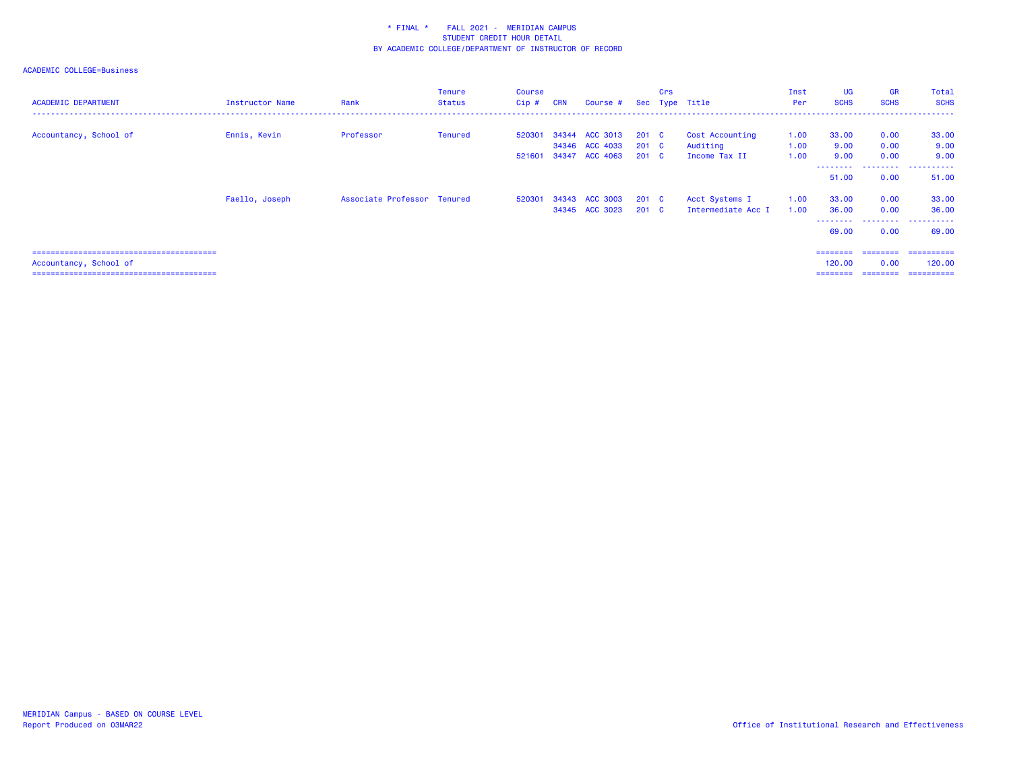| <b>ACADEMIC DEPARTMENT</b> | Instructor Name | Rank                        | <b>Tenure</b><br><b>Status</b> | Course<br>$Cip$ # | <b>CRN</b> | Course #       |               | Crs | Sec Type Title     | Inst<br>Per | <b>UG</b><br><b>SCHS</b> | <b>GR</b><br><b>SCHS</b> | Total<br><b>SCHS</b>     |
|----------------------------|-----------------|-----------------------------|--------------------------------|-------------------|------------|----------------|---------------|-----|--------------------|-------------|--------------------------|--------------------------|--------------------------|
| Accountancy, School of     | Ennis, Kevin    | Professor                   | Tenured                        | 520301            |            | 34344 ACC 3013 | 201 C         |     | Cost Accounting    | 1.00        | 33.00                    | 0.00                     | 33.00                    |
|                            |                 |                             |                                |                   |            | 34346 ACC 4033 | 201 C         |     | Auditing           | 1.00        | 9.00                     | 0.00                     | 9.00                     |
|                            |                 |                             |                                | 521601            |            | 34347 ACC 4063 | 201 C         |     | Income Tax II      | 1.00        | 9.00                     | 0.00                     | 9.00                     |
|                            |                 |                             |                                |                   |            |                |               |     |                    |             | 51.00                    | ---------<br>0.00        | .<br>51.00               |
|                            | Faello, Joseph  | Associate Professor Tenured |                                | 520301            |            | 34343 ACC 3003 | $201 \quad C$ |     | Acct Systems I     | 1.00        | 33.00                    | 0.00                     | 33.00                    |
|                            |                 |                             |                                |                   |            | 34345 ACC 3023 | $201 \quad C$ |     | Intermediate Acc I | 1.00        | 36.00                    | 0.00                     | 36.00                    |
|                            |                 |                             |                                |                   |            |                |               |     |                    |             | 69.00                    | ---------<br>0.00        | ------<br>.<br>69.00     |
|                            |                 |                             |                                |                   |            |                |               |     |                    |             | $=$ = = = = = = =        | ========                 | -==========              |
| Accountancy, School of     |                 |                             |                                |                   |            |                |               |     |                    |             | 120,00                   | 0.00                     | 120,00                   |
|                            |                 |                             |                                |                   |            |                |               |     |                    |             | ========                 |                          | ________________________ |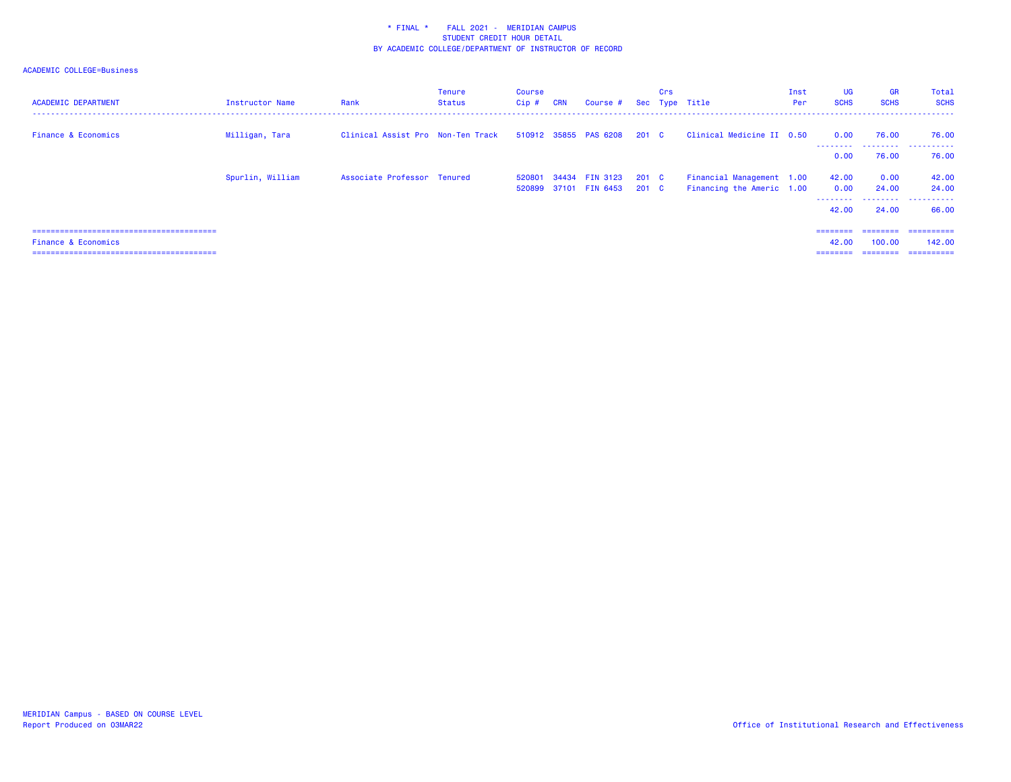| <b>ACADEMIC DEPARTMENT</b> | Instructor Name  | Rank                              | <b>Tenure</b><br>Status | Course<br>$Cip$ # | <b>CRN</b> | Course #                                |                  | Crs | Sec Type Title                                         | Inst<br>Per | <b>UG</b><br><b>SCHS</b>           | <b>GR</b><br><b>SCHS</b>                                                                                                                                                                                                                                                                                                                                                                                                                                                                                     | Total<br><b>SCHS</b>                |
|----------------------------|------------------|-----------------------------------|-------------------------|-------------------|------------|-----------------------------------------|------------------|-----|--------------------------------------------------------|-------------|------------------------------------|--------------------------------------------------------------------------------------------------------------------------------------------------------------------------------------------------------------------------------------------------------------------------------------------------------------------------------------------------------------------------------------------------------------------------------------------------------------------------------------------------------------|-------------------------------------|
| Finance & Economics        | Milligan, Tara   | Clinical Assist Pro Non-Ten Track |                         |                   |            | 510912 35855 PAS 6208                   | $201 \quad C$    |     | Clinical Medicine II 0.50                              |             | 0.00                               | 76.00                                                                                                                                                                                                                                                                                                                                                                                                                                                                                                        | 76.00                               |
|                            |                  |                                   |                         |                   |            |                                         |                  |     |                                                        |             | --------<br>0.00                   | 76.00                                                                                                                                                                                                                                                                                                                                                                                                                                                                                                        | _________________________<br>76.00  |
|                            | Spurlin, William | Associate Professor Tenured       |                         | 520801            |            | 34434 FIN 3123<br>520899 37101 FIN 6453 | 201 C<br>$201$ C |     | Financial Management 1.00<br>Financing the Americ 1.00 |             | 42.00<br>0.00<br>--------<br>42.00 | 0.00<br>24.00<br>24.00                                                                                                                                                                                                                                                                                                                                                                                                                                                                                       | 42.00<br>24.00<br>.<br>66.00        |
| Finance & Economics        |                  |                                   |                         |                   |            |                                         |                  |     |                                                        |             | ========<br>42.00<br>========      | ========<br>100.00<br>$\begin{array}{cccccccccc} \multicolumn{2}{c}{} & \multicolumn{2}{c}{} & \multicolumn{2}{c}{} & \multicolumn{2}{c}{} & \multicolumn{2}{c}{} & \multicolumn{2}{c}{} & \multicolumn{2}{c}{} & \multicolumn{2}{c}{} & \multicolumn{2}{c}{} & \multicolumn{2}{c}{} & \multicolumn{2}{c}{} & \multicolumn{2}{c}{} & \multicolumn{2}{c}{} & \multicolumn{2}{c}{} & \multicolumn{2}{c}{} & \multicolumn{2}{c}{} & \multicolumn{2}{c}{} & \multicolumn{2}{c}{} & \multicolumn{2}{c}{} & \mult$ | ==========<br>142,00<br>----------- |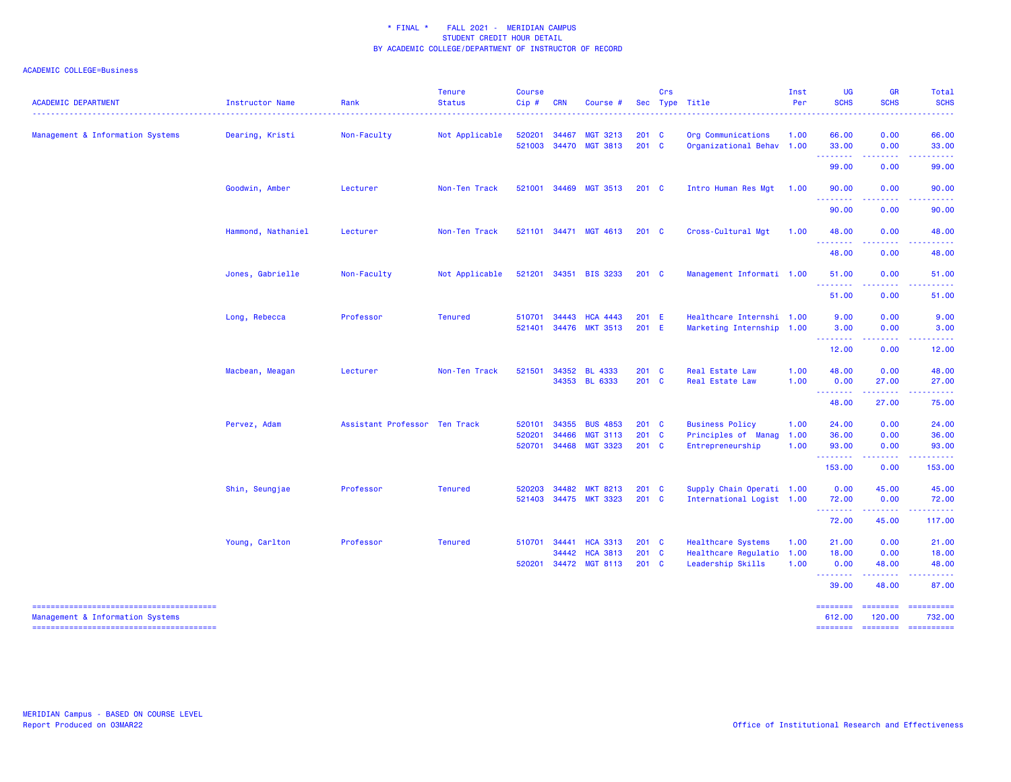| <b>ACADEMIC DEPARTMENT</b>       | Instructor Name<br>. | Rank                          | <b>Tenure</b><br><b>Status</b><br>. | <b>Course</b><br>$Cip$ # | <b>CRN</b>     | Course #                                             |                           | Crs | Sec Type Title                                                         | Inst<br>Per          | <b>UG</b><br><b>SCHS</b><br><u>.</u>  | <b>GR</b><br><b>SCHS</b><br>$\frac{1}{2} \left( \frac{1}{2} \right) \left( \frac{1}{2} \right) \left( \frac{1}{2} \right) \left( \frac{1}{2} \right) \left( \frac{1}{2} \right)$ | Total<br><b>SCHS</b><br>. <u>.</u> . |
|----------------------------------|----------------------|-------------------------------|-------------------------------------|--------------------------|----------------|------------------------------------------------------|---------------------------|-----|------------------------------------------------------------------------|----------------------|---------------------------------------|----------------------------------------------------------------------------------------------------------------------------------------------------------------------------------|--------------------------------------|
| Management & Information Systems | Dearing, Kristi      | Non-Faculty                   | Not Applicable                      | 520201<br>521003         | 34467          | <b>MGT 3213</b><br>34470 MGT 3813                    | 201<br>$201$ C            | C   | Org Communications<br>Organizational Behav 1.00                        | 1.00                 | 66.00<br>33.00                        | 0.00<br>0.00                                                                                                                                                                     | 66.00<br>33.00                       |
|                                  |                      |                               |                                     |                          |                |                                                      |                           |     |                                                                        |                      | .<br>99.00                            | .<br>0.00                                                                                                                                                                        | .<br>99.00                           |
|                                  | Goodwin, Amber       | Lecturer                      | Non-Ten Track                       | 521001                   |                | 34469 MGT 3513                                       | $201 \quad C$             |     | Intro Human Res Mgt 1.00                                               |                      | 90.00<br>.                            | 0.00<br>.                                                                                                                                                                        | 90.00                                |
|                                  |                      |                               |                                     |                          |                |                                                      |                           |     |                                                                        |                      | 90.00                                 | 0.00                                                                                                                                                                             | 90.00                                |
|                                  | Hammond, Nathaniel   | Lecturer                      | Non-Ten Track                       |                          |                | 521101 34471 MGT 4613                                | $201$ C                   |     | Cross-Cultural Mgt                                                     | 1.00                 | 48.00<br>.                            | 0.00                                                                                                                                                                             | 48.00                                |
|                                  |                      |                               |                                     |                          |                |                                                      |                           |     |                                                                        |                      | 48.00                                 | 0.00                                                                                                                                                                             | 48.00                                |
|                                  | Jones, Gabrielle     | Non-Faculty                   | Not Applicable                      |                          |                | 521201 34351 BIS 3233                                | $201$ C                   |     | Management Informati 1.00                                              |                      | 51.00<br>.                            | 0.00                                                                                                                                                                             | 51.00                                |
|                                  |                      |                               |                                     |                          |                |                                                      |                           |     |                                                                        |                      | 51.00                                 | 0.00                                                                                                                                                                             | 51.00                                |
|                                  | Long, Rebecca        | Professor                     | <b>Tenured</b>                      | 510701<br>521401         | 34443          | <b>HCA 4443</b><br>34476 MKT 3513                    | 201 E<br>201 E            |     | Healthcare Internshi 1.00<br>Marketing Internship 1.00                 |                      | 9.00<br>3.00                          | 0.00<br>0.00                                                                                                                                                                     | 9.00<br>3.00                         |
|                                  |                      |                               |                                     |                          |                |                                                      |                           |     |                                                                        |                      | --------<br>12.00                     | .<br>0.00                                                                                                                                                                        | . <b>.</b> .<br>12.00                |
|                                  | Macbean, Meagan      | Lecturer                      | Non-Ten Track                       | 521501                   | 34352          | <b>BL 4333</b><br>34353 BL 6333                      | $201 \quad C$<br>201 C    |     | Real Estate Law<br>Real Estate Law                                     | 1.00<br>1.00         | 48.00<br>0.00                         | 0.00<br>27.00                                                                                                                                                                    | 48.00<br>27.00                       |
|                                  |                      |                               |                                     |                          |                |                                                      |                           |     |                                                                        |                      | - - - - - - - -<br>48.00              | 22222<br>27.00                                                                                                                                                                   | .<br>75.00                           |
|                                  | Pervez, Adam         | Assistant Professor Ten Track |                                     | 520101                   | 34355          | <b>BUS 4853</b>                                      | 201 C                     |     | <b>Business Policy</b>                                                 | 1.00                 | 24.00                                 | 0.00                                                                                                                                                                             | 24.00                                |
|                                  |                      |                               |                                     | 520201<br>520701         | 34466          | <b>MGT 3113</b><br>34468 MGT 3323                    | 201 C<br>201 C            |     | Principles of Manag 1.00<br>Entrepreneurship                           | 1.00                 | 36.00<br>93.00                        | 0.00<br>0.00                                                                                                                                                                     | 36.00<br>93.00                       |
|                                  |                      |                               |                                     |                          |                |                                                      |                           |     |                                                                        |                      | 153.00                                | .<br>0.00                                                                                                                                                                        | .<br>153.00                          |
|                                  | Shin, Seungjae       | Professor                     | <b>Tenured</b>                      | 520203<br>521403         | 34482          | <b>MKT 8213</b><br>34475 MKT 3323                    | 201 C<br>201 C            |     | Supply Chain Operati 1.00<br>International Logist 1.00                 |                      | 0.00<br>72.00                         | 45.00<br>0.00                                                                                                                                                                    | 45.00<br>72.00                       |
|                                  |                      |                               |                                     |                          |                |                                                      |                           |     |                                                                        |                      | <u> - - - - - - - -</u><br>72.00      | $\frac{1}{2} \left( \frac{1}{2} \right) \left( \frac{1}{2} \right) \left( \frac{1}{2} \right) \left( \frac{1}{2} \right)$<br>45.00                                               | 117.00                               |
|                                  | Young, Carlton       | Professor                     | <b>Tenured</b>                      | 510701<br>520201         | 34441<br>34442 | <b>HCA 3313</b><br><b>HCA 3813</b><br>34472 MGT 8113 | 201 C<br>201 C<br>$201$ C |     | <b>Healthcare Systems</b><br>Healthcare Regulatio<br>Leadership Skills | 1.00<br>1.00<br>1.00 | 21.00<br>18.00<br>0.00                | 0.00<br>0.00<br>48.00                                                                                                                                                            | 21.00<br>18.00<br>48.00              |
|                                  |                      |                               |                                     |                          |                |                                                      |                           |     |                                                                        |                      | .<br>39.00                            | .<br>48.00                                                                                                                                                                       | .<br>87.00                           |
| Management & Information Systems |                      |                               |                                     |                          |                |                                                      |                           |     |                                                                        |                      | ========<br>612.00<br><b>SEBSEBER</b> | 120.00<br>========                                                                                                                                                               | 732.00<br>==========                 |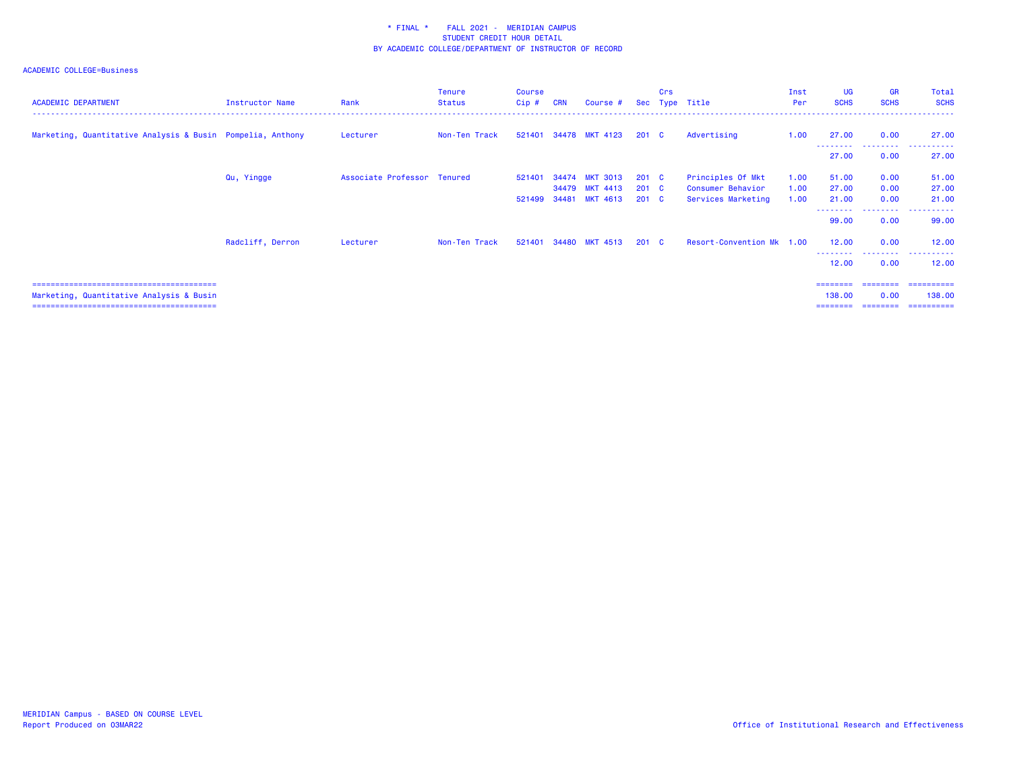# ACADEMIC COLLEGE=Business

| <b>ACADEMIC DEPARTMENT</b>                                 | Instructor Name  | Rank                        | <b>Tenure</b><br><b>Status</b> | Course<br>$Cip$ # | <b>CRN</b> | Course #              |               | Crs | Sec Type Title            | Inst<br>Per | <b>UG</b><br><b>SCHS</b> | <b>GR</b><br><b>SCHS</b> | Total<br><b>SCHS</b>               |
|------------------------------------------------------------|------------------|-----------------------------|--------------------------------|-------------------|------------|-----------------------|---------------|-----|---------------------------|-------------|--------------------------|--------------------------|------------------------------------|
| Marketing, Quantitative Analysis & Busin Pompelia, Anthony |                  | Lecturer                    | Non-Ten Track                  |                   |            | 521401 34478 MKT 4123 | 201 C         |     | Advertising               | 1.00        | 27.00                    | 0.00                     | 27.00<br><b> </b>                  |
|                                                            |                  |                             |                                |                   |            |                       |               |     |                           |             | ---------<br>27.00       | 0.00                     | 27.00                              |
|                                                            | Qu, Yingge       | Associate Professor Tenured |                                | 521401            |            | 34474 MKT 3013        | $201 \quad C$ |     | Principles Of Mkt         | 1.00        | 51.00                    | 0.00                     | 51.00                              |
|                                                            |                  |                             |                                |                   |            | 34479 MKT 4413        | $201 \quad C$ |     | Consumer Behavior         | 1.00        | 27.00                    | 0.00                     | 27.00                              |
|                                                            |                  |                             |                                | 521499            |            | 34481 MKT 4613        | $201 \quad C$ |     | Services Marketing        | 1.00        | 21.00                    | 0.00                     | 21.00                              |
|                                                            |                  |                             |                                |                   |            |                       |               |     |                           |             | 99.00                    | ---------<br>0.00        | ------<br>.<br>99.00               |
|                                                            | Radcliff, Derron | Lecturer                    | Non-Ten Track                  | 521401            |            | 34480 MKT 4513        | 201 C         |     | Resort-Convention Mk 1.00 |             | 12.00                    | 0.00<br>---------        | 12.00<br>.                         |
|                                                            |                  |                             |                                |                   |            |                       |               |     |                           |             | 12.00                    | 0.00                     | 12.00                              |
|                                                            |                  |                             |                                |                   |            |                       |               |     |                           |             | ========                 | ---------                | ==========                         |
| Marketing, Quantitative Analysis & Busin                   |                  |                             |                                |                   |            |                       |               |     |                           |             | 138,00                   | 0.00                     | 138,00                             |
|                                                            |                  |                             |                                |                   |            |                       |               |     |                           |             |                          |                          | ================================== |

138.00 0.00 138.00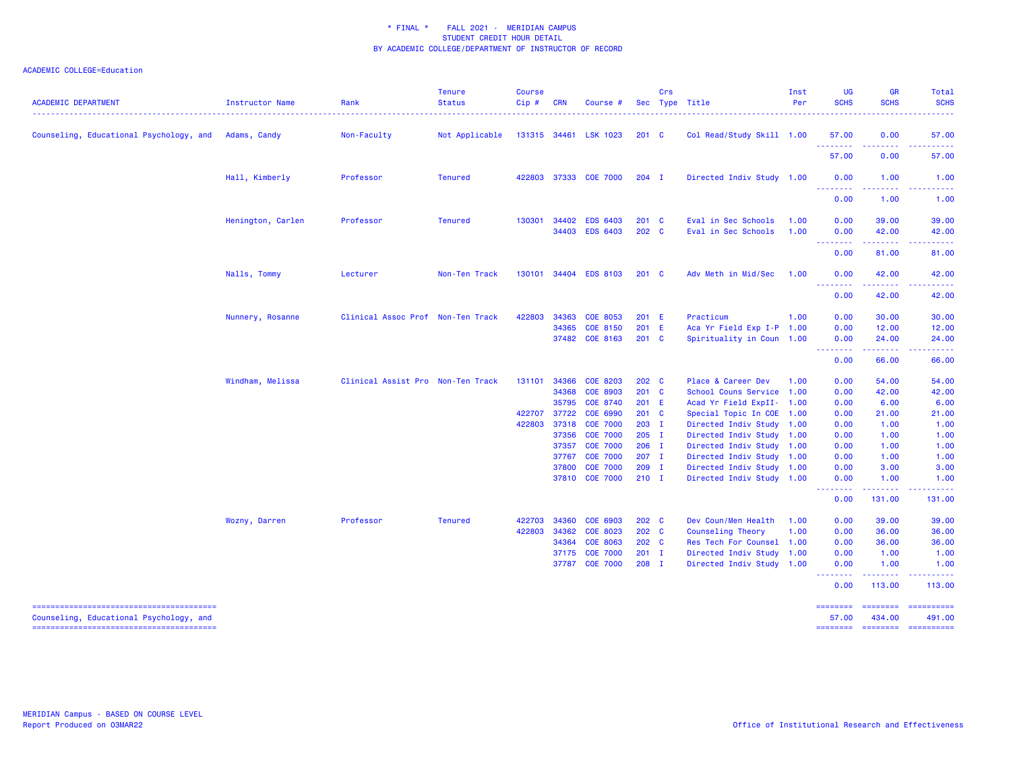| <b>ACADEMIC DEPARTMENT</b>                           | Instructor Name   | Rank                              | <b>Tenure</b><br><b>Status</b> | <b>Course</b><br>$Cip$ # | <b>CRN</b>     | Course #                           |                    | Crs | Sec Type Title                                         | Inst<br>Per  | <b>UG</b><br><b>SCHS</b>                                                                                                                                     | <b>GR</b><br><b>SCHS</b>             | Total<br><b>SCHS</b>                                                                                                                                                                                                                                                                                                                                                                                                                                                                                           |
|------------------------------------------------------|-------------------|-----------------------------------|--------------------------------|--------------------------|----------------|------------------------------------|--------------------|-----|--------------------------------------------------------|--------------|--------------------------------------------------------------------------------------------------------------------------------------------------------------|--------------------------------------|----------------------------------------------------------------------------------------------------------------------------------------------------------------------------------------------------------------------------------------------------------------------------------------------------------------------------------------------------------------------------------------------------------------------------------------------------------------------------------------------------------------|
| Counseling, Educational Psychology, and Adams, Candy |                   | Non-Faculty                       | Not Applicable                 |                          |                | 131315 34461 LSK 1023              | $201 \quad C$      |     | Col Read/Study Skill 1.00                              |              | 57.00                                                                                                                                                        | 0.00                                 | 57.00                                                                                                                                                                                                                                                                                                                                                                                                                                                                                                          |
|                                                      |                   |                                   |                                |                          |                |                                    |                    |     |                                                        |              | 57.00                                                                                                                                                        | 0.00                                 | 57.00                                                                                                                                                                                                                                                                                                                                                                                                                                                                                                          |
|                                                      | Hall, Kimberly    | Professor                         | <b>Tenured</b>                 | 422803                   | 37333          | <b>COE 7000</b>                    | $204$ I            |     | Directed Indiv Study 1.00                              |              | 0.00<br>$\frac{1}{2} \left( \frac{1}{2} \right) \left( \frac{1}{2} \right) \left( \frac{1}{2} \right) \left( \frac{1}{2} \right) \left( \frac{1}{2} \right)$ | 1.00                                 | 1.00                                                                                                                                                                                                                                                                                                                                                                                                                                                                                                           |
|                                                      |                   |                                   |                                |                          |                |                                    |                    |     |                                                        |              | 0.00                                                                                                                                                         | 1.00                                 | 1.00                                                                                                                                                                                                                                                                                                                                                                                                                                                                                                           |
|                                                      | Henington, Carlen | Professor                         | <b>Tenured</b>                 | 130301                   | 34402<br>34403 | <b>EDS 6403</b><br><b>EDS 6403</b> | 201 C<br>202 C     |     | Eval in Sec Schools<br>Eval in Sec Schools             | 1.00<br>1.00 | 0.00<br>0.00<br>.                                                                                                                                            | 39.00<br>42.00<br>.                  | 39.00<br>42.00                                                                                                                                                                                                                                                                                                                                                                                                                                                                                                 |
|                                                      |                   |                                   |                                |                          |                |                                    |                    |     |                                                        |              | 0.00                                                                                                                                                         | 81.00                                | 81.00                                                                                                                                                                                                                                                                                                                                                                                                                                                                                                          |
|                                                      | Nalls, Tommy      | Lecturer                          | Non-Ten Track                  |                          |                | 130101 34404 EDS 8103              | $201 \quad C$      |     | Adv Meth in Mid/Sec                                    | 1.00         | 0.00<br>. <u>.</u> .                                                                                                                                         | 42.00                                | 42.00                                                                                                                                                                                                                                                                                                                                                                                                                                                                                                          |
|                                                      |                   |                                   |                                |                          |                |                                    |                    |     |                                                        |              | 0.00                                                                                                                                                         | 42.00                                | 42.00                                                                                                                                                                                                                                                                                                                                                                                                                                                                                                          |
|                                                      | Nunnery, Rosanne  | Clinical Assoc Prof Non-Ten Track |                                | 422803                   | 34363          | <b>COE 8053</b>                    | 201 E              |     | Practicum                                              | 1.00         | 0.00                                                                                                                                                         | 30.00                                | 30.00                                                                                                                                                                                                                                                                                                                                                                                                                                                                                                          |
|                                                      |                   |                                   |                                |                          | 34365          | <b>COE 8150</b>                    | 201 E              |     | Aca Yr Field Exp I-P 1.00                              |              | 0.00                                                                                                                                                         | 12.00                                | 12.00                                                                                                                                                                                                                                                                                                                                                                                                                                                                                                          |
|                                                      |                   |                                   |                                |                          |                | 37482 COE 8163                     | $201$ C            |     | Spirituality in Coun 1.00                              |              | 0.00<br>.                                                                                                                                                    | 24.00<br>------                      | 24.00<br>.                                                                                                                                                                                                                                                                                                                                                                                                                                                                                                     |
|                                                      |                   |                                   |                                |                          |                |                                    |                    |     |                                                        |              | 0.00                                                                                                                                                         | 66.00                                | 66.00                                                                                                                                                                                                                                                                                                                                                                                                                                                                                                          |
|                                                      | Windham, Melissa  | Clinical Assist Pro Non-Ten Track |                                | 131101                   | 34366          | <b>COE 8203</b>                    | 202 C              |     | Place & Career Dev                                     | 1.00         | 0.00                                                                                                                                                         | 54.00                                | 54.00                                                                                                                                                                                                                                                                                                                                                                                                                                                                                                          |
|                                                      |                   |                                   |                                |                          | 34368          | <b>COE 8903</b>                    | 201 C              |     | School Couns Service 1.00                              |              | 0.00                                                                                                                                                         | 42.00                                | 42.00                                                                                                                                                                                                                                                                                                                                                                                                                                                                                                          |
|                                                      |                   |                                   |                                |                          | 35795          | <b>COE 8740</b>                    | 201 E              |     | Acad Yr Field ExpII- 1.00                              |              | 0.00                                                                                                                                                         | 6.00                                 | 6.00                                                                                                                                                                                                                                                                                                                                                                                                                                                                                                           |
|                                                      |                   |                                   |                                | 422707                   | 37722          | COE 6990                           | 201 C              |     | Special Topic In COE 1.00                              |              | 0.00                                                                                                                                                         | 21.00                                | 21.00                                                                                                                                                                                                                                                                                                                                                                                                                                                                                                          |
|                                                      |                   |                                   |                                | 422803                   | 37318          | <b>COE 7000</b>                    | $203$ I            |     | Directed Indiv Study 1.00                              |              | 0.00                                                                                                                                                         | 1.00                                 | 1.00                                                                                                                                                                                                                                                                                                                                                                                                                                                                                                           |
|                                                      |                   |                                   |                                |                          | 37357          | 37356 COE 7000<br><b>COE 7000</b>  | $205$ I<br>$206$ I |     | Directed Indiv Study 1.00<br>Directed Indiv Study 1.00 |              | 0.00<br>0.00                                                                                                                                                 | 1.00<br>1.00                         | 1.00<br>1.00                                                                                                                                                                                                                                                                                                                                                                                                                                                                                                   |
|                                                      |                   |                                   |                                |                          | 37767          | <b>COE 7000</b>                    | $207$ I            |     | Directed Indiv Study 1.00                              |              | 0.00                                                                                                                                                         | 1.00                                 | 1.00                                                                                                                                                                                                                                                                                                                                                                                                                                                                                                           |
|                                                      |                   |                                   |                                |                          | 37800          | <b>COE 7000</b>                    | $209$ I            |     | Directed Indiv Study 1.00                              |              | 0.00                                                                                                                                                         | 3.00                                 | 3.00                                                                                                                                                                                                                                                                                                                                                                                                                                                                                                           |
|                                                      |                   |                                   |                                |                          |                | 37810 COE 7000                     | $210$ I            |     | Directed Indiv Study 1.00                              |              | 0.00                                                                                                                                                         | 1.00                                 | 1.00                                                                                                                                                                                                                                                                                                                                                                                                                                                                                                           |
|                                                      |                   |                                   |                                |                          |                |                                    |                    |     |                                                        |              | 0.00                                                                                                                                                         | 131.00                               | 131.00                                                                                                                                                                                                                                                                                                                                                                                                                                                                                                         |
|                                                      | Wozny, Darren     | Professor                         | <b>Tenured</b>                 | 422703                   | 34360          | COE 6903                           | 202 C              |     | Dev Coun/Men Health                                    | 1.00         | 0.00                                                                                                                                                         | 39.00                                | 39.00                                                                                                                                                                                                                                                                                                                                                                                                                                                                                                          |
|                                                      |                   |                                   |                                | 422803                   | 34362<br>34364 | <b>COE 8023</b><br><b>COE 8063</b> | 202 C<br>202 C     |     | Counseling Theory<br>Res Tech For Counsel 1.00         | 1.00         | 0.00<br>0.00                                                                                                                                                 | 36.00<br>36.00                       | 36.00<br>36.00                                                                                                                                                                                                                                                                                                                                                                                                                                                                                                 |
|                                                      |                   |                                   |                                |                          | 37175          | <b>COE 7000</b>                    | $201$ I            |     | Directed Indiv Study 1.00                              |              | 0.00                                                                                                                                                         | 1.00                                 | 1.00                                                                                                                                                                                                                                                                                                                                                                                                                                                                                                           |
|                                                      |                   |                                   |                                |                          | 37787          | <b>COE 7000</b>                    | 208 I              |     | Directed Indiv Study 1.00                              |              | 0.00                                                                                                                                                         | 1.00                                 | 1.00                                                                                                                                                                                                                                                                                                                                                                                                                                                                                                           |
|                                                      |                   |                                   |                                |                          |                |                                    |                    |     |                                                        |              | 0.00                                                                                                                                                         | 113.00                               | 113.00                                                                                                                                                                                                                                                                                                                                                                                                                                                                                                         |
| Counseling, Educational Psychology, and              |                   |                                   |                                |                          |                |                                    |                    |     |                                                        |              | ========<br>57.00<br>========                                                                                                                                | <b>ESSESSE</b><br>434.00<br>======== | $\begin{array}{cccccccccc} \multicolumn{2}{c}{} & \multicolumn{2}{c}{} & \multicolumn{2}{c}{} & \multicolumn{2}{c}{} & \multicolumn{2}{c}{} & \multicolumn{2}{c}{} & \multicolumn{2}{c}{} & \multicolumn{2}{c}{} & \multicolumn{2}{c}{} & \multicolumn{2}{c}{} & \multicolumn{2}{c}{} & \multicolumn{2}{c}{} & \multicolumn{2}{c}{} & \multicolumn{2}{c}{} & \multicolumn{2}{c}{} & \multicolumn{2}{c}{} & \multicolumn{2}{c}{} & \multicolumn{2}{c}{} & \multicolumn{2}{c}{} & \mult$<br>491.00<br>========== |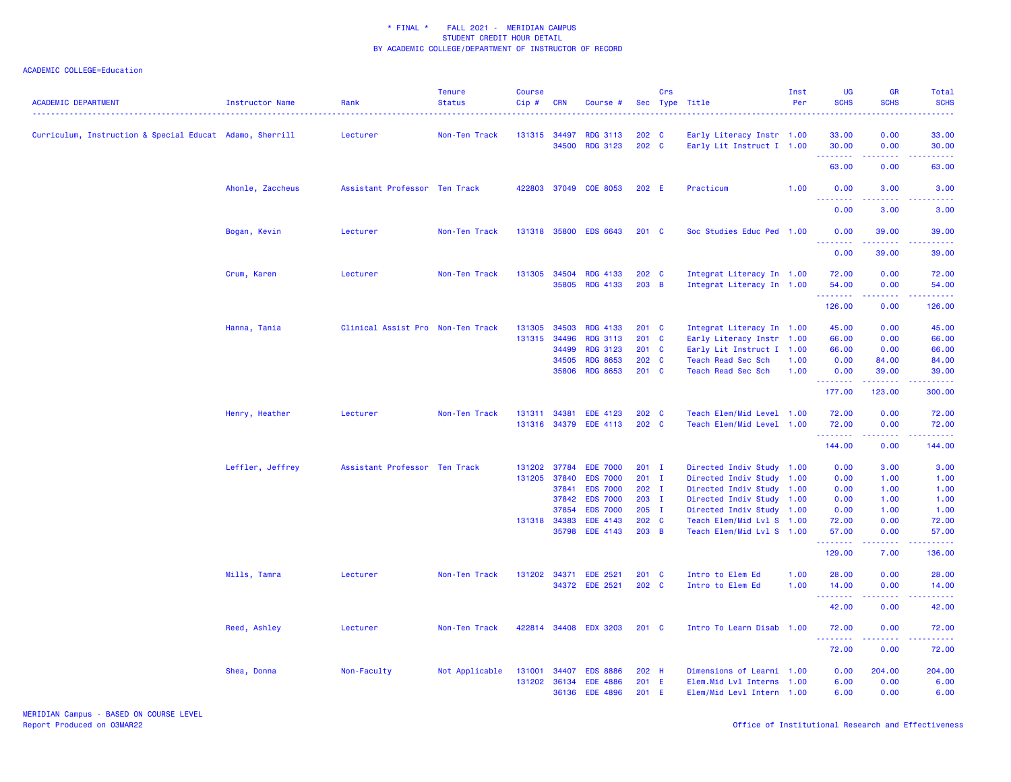| $\frac{1}{2}$<br><b>RDG 3113</b><br>202 C<br>0.00<br>33.00<br>Curriculum, Instruction & Special Educat Adamo, Sherrill<br>Non-Ten Track<br>131315<br>34497<br>Early Literacy Instr 1.00<br>33.00<br>Lecturer<br>34500<br><b>RDG 3123</b><br>202 C<br>0.00<br>Early Lit Instruct I 1.00<br>30.00<br>30.00<br>.<br>.<br>والمستمال<br>63.00<br>0.00<br>63.00<br>Ahonle, Zaccheus<br>Assistant Professor Ten Track<br>37049 COE 8053<br>202 E<br>1.00<br>0.00<br>3.00<br>422803<br>Practicum<br>3.00<br><b></b><br>.<br>$\frac{1}{2} \left( \frac{1}{2} \right) \left( \frac{1}{2} \right) \left( \frac{1}{2} \right) \left( \frac{1}{2} \right)$<br>0.00<br>3.00<br>3.00<br>Bogan, Kevin<br>131318<br>35800<br><b>EDS 6643</b><br>201 C<br>Soc Studies Educ Ped 1.00<br>39.00<br>Lecturer<br>Non-Ten Track<br>0.00<br>39.00<br>د د د د د<br>$\sim$ $\sim$ $\sim$ $\sim$ $\sim$<br>0.00<br>39.00<br>39.00<br>Crum, Karen<br>131305<br>34504<br><b>RDG 4133</b><br>202 C<br>Integrat Literacy In 1.00<br>0.00<br>72.00<br>Lecturer<br>Non-Ten Track<br>72.00<br>35805<br><b>RDG 4133</b><br>$203 \quad B$<br>Integrat Literacy In 1.00<br>54.00<br>0.00<br>54.00<br>.<br>د د د د<br>المتمامين<br>126.00<br>0.00<br>126.00<br>Hanna, Tania<br>Clinical Assist Pro Non-Ten Track<br>131305<br>34503<br><b>RDG 4133</b><br>$201 \quad C$<br>Integrat Literacy In 1.00<br>45.00<br>0.00<br>45.00<br>131315<br>34496<br><b>RDG 3113</b><br>201 C<br>Early Literacy Instr 1.00<br>66.00<br>0.00<br>66.00<br><b>RDG 3123</b><br>201 C<br>34499<br>Early Lit Instruct I 1.00<br>66.00<br>0.00<br>66.00<br><b>RDG 8653</b><br>202 C<br>34505<br><b>Teach Read Sec Sch</b><br>1.00<br>0.00<br>84.00<br>84.00<br>35806<br><b>RDG 8653</b><br>201 C<br>Teach Read Sec Sch<br>1.00<br>0.00<br>39.00<br>39.00<br><u>.</u><br>.<br>د د د د د<br>123.00<br>177.00<br>300.00<br>Henry, Heather<br>Non-Ten Track<br>34381<br><b>EDE 4123</b><br>202 C<br>Teach Elem/Mid Level 1.00<br>72.00<br>0.00<br>72.00<br>Lecturer<br>131311<br>131316 34379 EDE 4113<br>202 C<br>Teach Elem/Mid Level 1.00<br>0.00<br>72.00<br>72.00<br>.<br>.<br><u>.</u><br>144.00<br>0.00<br>144.00<br>Leffler, Jeffrey<br>Directed Indiv Study 1.00<br>3.00<br>Assistant Professor Ten Track<br>131202<br>37784<br><b>EDE 7000</b><br>$201$ I<br>0.00<br>3.00<br>131205<br>37840<br><b>EDS 7000</b><br>$201$ I<br>Directed Indiv Study<br>1.00<br>0.00<br>1.00<br>1.00<br>37841<br><b>EDS 7000</b><br>$202$ I<br>Directed Indiv Study 1.00<br>0.00<br>1.00<br>1.00<br>37842<br><b>EDS 7000</b><br>203 I<br>1.00<br>Directed Indiv Study 1.00<br>0.00<br>1.00<br>37854<br><b>EDS 7000</b><br>$205$ I<br>Directed Indiv Study 1.00<br>1.00<br>0.00<br>1.00<br><b>EDE 4143</b><br>202 C<br>131318 34383<br>Teach Elem/Mid Lvl S 1.00<br>72.00<br>0.00<br>72.00<br>35798<br><b>EDE 4143</b><br>203 B<br>Teach Elem/Mid Lvl S 1.00<br>57.00<br>0.00<br>57.00<br>a a a a a<br><u> - - - - - - - -</u><br>.<br>129.00<br>7.00<br>136.00<br>Mills, Tamra<br>201 C<br>0.00<br>Lecturer<br>Non-Ten Track<br>131202<br>34371 EDE 2521<br>Intro to Elem Ed<br>1.00<br>28.00<br>28.00<br>34372 EDE 2521<br>202 C<br>Intro to Elem Ed<br>1.00<br>14.00<br>0.00<br>14.00<br>.<br>.<br>د د د د د<br>42.00<br>0.00<br>42.00<br>Reed, Ashley<br>Lecturer<br>Non-Ten Track<br>422814 34408 EDX 3203<br>201 C<br>Intro To Learn Disab<br>1.00<br>72.00<br>0.00<br>72.00<br><u>.</u><br>$\frac{1}{2} \left( \frac{1}{2} \right) \left( \frac{1}{2} \right) \left( \frac{1}{2} \right) \left( \frac{1}{2} \right) \left( \frac{1}{2} \right)$<br>.<br>72.00<br>0.00<br>72.00<br>Shea, Donna<br>Non-Faculty<br>Not Applicable<br>131001<br><b>EDS 8886</b><br>202 H<br>Dimensions of Learni 1.00<br>0.00<br>204.00<br>204.00<br>34407<br>131202<br>36134<br><b>EDE 4886</b><br>201 E<br>Elem. Mid Lvl Interns 1.00<br>6.00<br>0.00<br>6.00<br><b>EDE 4896</b><br>201 E<br>36136<br>Elem/Mid Levl Intern 1.00<br>6.00<br>0.00<br>6.00 | <b>ACADEMIC DEPARTMENT</b> | Instructor Name | Rank | <b>Tenure</b><br><b>Status</b> | <b>Course</b><br>Cip# | <b>CRN</b> | Course # | Crs | Sec Type Title | Inst<br>Per | UG<br><b>SCHS</b> | GR<br><b>SCHS</b> | Total<br><b>SCHS</b> |
|-------------------------------------------------------------------------------------------------------------------------------------------------------------------------------------------------------------------------------------------------------------------------------------------------------------------------------------------------------------------------------------------------------------------------------------------------------------------------------------------------------------------------------------------------------------------------------------------------------------------------------------------------------------------------------------------------------------------------------------------------------------------------------------------------------------------------------------------------------------------------------------------------------------------------------------------------------------------------------------------------------------------------------------------------------------------------------------------------------------------------------------------------------------------------------------------------------------------------------------------------------------------------------------------------------------------------------------------------------------------------------------------------------------------------------------------------------------------------------------------------------------------------------------------------------------------------------------------------------------------------------------------------------------------------------------------------------------------------------------------------------------------------------------------------------------------------------------------------------------------------------------------------------------------------------------------------------------------------------------------------------------------------------------------------------------------------------------------------------------------------------------------------------------------------------------------------------------------------------------------------------------------------------------------------------------------------------------------------------------------------------------------------------------------------------------------------------------------------------------------------------------------------------------------------------------------------------------------------------------------------------------------------------------------------------------------------------------------------------------------------------------------------------------------------------------------------------------------------------------------------------------------------------------------------------------------------------------------------------------------------------------------------------------------------------------------------------------------------------------------------------------------------------------------------------------------------------------------------------------------------------------------------------------------------------------------------------------------------------------------------------------------------------------------------------------------------------------------------------------------------------------------------------------------------------------------------------------------------------------------------------------------------------------------------------------------------------------------------------------------------------------------------------------------------------------------------------------------------------------------------------------------------------------------------------------------------------------------|----------------------------|-----------------|------|--------------------------------|-----------------------|------------|----------|-----|----------------|-------------|-------------------|-------------------|----------------------|
|                                                                                                                                                                                                                                                                                                                                                                                                                                                                                                                                                                                                                                                                                                                                                                                                                                                                                                                                                                                                                                                                                                                                                                                                                                                                                                                                                                                                                                                                                                                                                                                                                                                                                                                                                                                                                                                                                                                                                                                                                                                                                                                                                                                                                                                                                                                                                                                                                                                                                                                                                                                                                                                                                                                                                                                                                                                                                                                                                                                                                                                                                                                                                                                                                                                                                                                                                                                                                                                                                                                                                                                                                                                                                                                                                                                                                                                                                                                                                                   |                            |                 |      |                                |                       |            |          |     |                |             |                   |                   |                      |
|                                                                                                                                                                                                                                                                                                                                                                                                                                                                                                                                                                                                                                                                                                                                                                                                                                                                                                                                                                                                                                                                                                                                                                                                                                                                                                                                                                                                                                                                                                                                                                                                                                                                                                                                                                                                                                                                                                                                                                                                                                                                                                                                                                                                                                                                                                                                                                                                                                                                                                                                                                                                                                                                                                                                                                                                                                                                                                                                                                                                                                                                                                                                                                                                                                                                                                                                                                                                                                                                                                                                                                                                                                                                                                                                                                                                                                                                                                                                                                   |                            |                 |      |                                |                       |            |          |     |                |             |                   |                   |                      |
|                                                                                                                                                                                                                                                                                                                                                                                                                                                                                                                                                                                                                                                                                                                                                                                                                                                                                                                                                                                                                                                                                                                                                                                                                                                                                                                                                                                                                                                                                                                                                                                                                                                                                                                                                                                                                                                                                                                                                                                                                                                                                                                                                                                                                                                                                                                                                                                                                                                                                                                                                                                                                                                                                                                                                                                                                                                                                                                                                                                                                                                                                                                                                                                                                                                                                                                                                                                                                                                                                                                                                                                                                                                                                                                                                                                                                                                                                                                                                                   |                            |                 |      |                                |                       |            |          |     |                |             |                   |                   |                      |
|                                                                                                                                                                                                                                                                                                                                                                                                                                                                                                                                                                                                                                                                                                                                                                                                                                                                                                                                                                                                                                                                                                                                                                                                                                                                                                                                                                                                                                                                                                                                                                                                                                                                                                                                                                                                                                                                                                                                                                                                                                                                                                                                                                                                                                                                                                                                                                                                                                                                                                                                                                                                                                                                                                                                                                                                                                                                                                                                                                                                                                                                                                                                                                                                                                                                                                                                                                                                                                                                                                                                                                                                                                                                                                                                                                                                                                                                                                                                                                   |                            |                 |      |                                |                       |            |          |     |                |             |                   |                   |                      |
|                                                                                                                                                                                                                                                                                                                                                                                                                                                                                                                                                                                                                                                                                                                                                                                                                                                                                                                                                                                                                                                                                                                                                                                                                                                                                                                                                                                                                                                                                                                                                                                                                                                                                                                                                                                                                                                                                                                                                                                                                                                                                                                                                                                                                                                                                                                                                                                                                                                                                                                                                                                                                                                                                                                                                                                                                                                                                                                                                                                                                                                                                                                                                                                                                                                                                                                                                                                                                                                                                                                                                                                                                                                                                                                                                                                                                                                                                                                                                                   |                            |                 |      |                                |                       |            |          |     |                |             |                   |                   |                      |
|                                                                                                                                                                                                                                                                                                                                                                                                                                                                                                                                                                                                                                                                                                                                                                                                                                                                                                                                                                                                                                                                                                                                                                                                                                                                                                                                                                                                                                                                                                                                                                                                                                                                                                                                                                                                                                                                                                                                                                                                                                                                                                                                                                                                                                                                                                                                                                                                                                                                                                                                                                                                                                                                                                                                                                                                                                                                                                                                                                                                                                                                                                                                                                                                                                                                                                                                                                                                                                                                                                                                                                                                                                                                                                                                                                                                                                                                                                                                                                   |                            |                 |      |                                |                       |            |          |     |                |             |                   |                   |                      |
|                                                                                                                                                                                                                                                                                                                                                                                                                                                                                                                                                                                                                                                                                                                                                                                                                                                                                                                                                                                                                                                                                                                                                                                                                                                                                                                                                                                                                                                                                                                                                                                                                                                                                                                                                                                                                                                                                                                                                                                                                                                                                                                                                                                                                                                                                                                                                                                                                                                                                                                                                                                                                                                                                                                                                                                                                                                                                                                                                                                                                                                                                                                                                                                                                                                                                                                                                                                                                                                                                                                                                                                                                                                                                                                                                                                                                                                                                                                                                                   |                            |                 |      |                                |                       |            |          |     |                |             |                   |                   |                      |
|                                                                                                                                                                                                                                                                                                                                                                                                                                                                                                                                                                                                                                                                                                                                                                                                                                                                                                                                                                                                                                                                                                                                                                                                                                                                                                                                                                                                                                                                                                                                                                                                                                                                                                                                                                                                                                                                                                                                                                                                                                                                                                                                                                                                                                                                                                                                                                                                                                                                                                                                                                                                                                                                                                                                                                                                                                                                                                                                                                                                                                                                                                                                                                                                                                                                                                                                                                                                                                                                                                                                                                                                                                                                                                                                                                                                                                                                                                                                                                   |                            |                 |      |                                |                       |            |          |     |                |             |                   |                   |                      |
|                                                                                                                                                                                                                                                                                                                                                                                                                                                                                                                                                                                                                                                                                                                                                                                                                                                                                                                                                                                                                                                                                                                                                                                                                                                                                                                                                                                                                                                                                                                                                                                                                                                                                                                                                                                                                                                                                                                                                                                                                                                                                                                                                                                                                                                                                                                                                                                                                                                                                                                                                                                                                                                                                                                                                                                                                                                                                                                                                                                                                                                                                                                                                                                                                                                                                                                                                                                                                                                                                                                                                                                                                                                                                                                                                                                                                                                                                                                                                                   |                            |                 |      |                                |                       |            |          |     |                |             |                   |                   |                      |
|                                                                                                                                                                                                                                                                                                                                                                                                                                                                                                                                                                                                                                                                                                                                                                                                                                                                                                                                                                                                                                                                                                                                                                                                                                                                                                                                                                                                                                                                                                                                                                                                                                                                                                                                                                                                                                                                                                                                                                                                                                                                                                                                                                                                                                                                                                                                                                                                                                                                                                                                                                                                                                                                                                                                                                                                                                                                                                                                                                                                                                                                                                                                                                                                                                                                                                                                                                                                                                                                                                                                                                                                                                                                                                                                                                                                                                                                                                                                                                   |                            |                 |      |                                |                       |            |          |     |                |             |                   |                   |                      |
|                                                                                                                                                                                                                                                                                                                                                                                                                                                                                                                                                                                                                                                                                                                                                                                                                                                                                                                                                                                                                                                                                                                                                                                                                                                                                                                                                                                                                                                                                                                                                                                                                                                                                                                                                                                                                                                                                                                                                                                                                                                                                                                                                                                                                                                                                                                                                                                                                                                                                                                                                                                                                                                                                                                                                                                                                                                                                                                                                                                                                                                                                                                                                                                                                                                                                                                                                                                                                                                                                                                                                                                                                                                                                                                                                                                                                                                                                                                                                                   |                            |                 |      |                                |                       |            |          |     |                |             |                   |                   |                      |
|                                                                                                                                                                                                                                                                                                                                                                                                                                                                                                                                                                                                                                                                                                                                                                                                                                                                                                                                                                                                                                                                                                                                                                                                                                                                                                                                                                                                                                                                                                                                                                                                                                                                                                                                                                                                                                                                                                                                                                                                                                                                                                                                                                                                                                                                                                                                                                                                                                                                                                                                                                                                                                                                                                                                                                                                                                                                                                                                                                                                                                                                                                                                                                                                                                                                                                                                                                                                                                                                                                                                                                                                                                                                                                                                                                                                                                                                                                                                                                   |                            |                 |      |                                |                       |            |          |     |                |             |                   |                   |                      |
|                                                                                                                                                                                                                                                                                                                                                                                                                                                                                                                                                                                                                                                                                                                                                                                                                                                                                                                                                                                                                                                                                                                                                                                                                                                                                                                                                                                                                                                                                                                                                                                                                                                                                                                                                                                                                                                                                                                                                                                                                                                                                                                                                                                                                                                                                                                                                                                                                                                                                                                                                                                                                                                                                                                                                                                                                                                                                                                                                                                                                                                                                                                                                                                                                                                                                                                                                                                                                                                                                                                                                                                                                                                                                                                                                                                                                                                                                                                                                                   |                            |                 |      |                                |                       |            |          |     |                |             |                   |                   |                      |
|                                                                                                                                                                                                                                                                                                                                                                                                                                                                                                                                                                                                                                                                                                                                                                                                                                                                                                                                                                                                                                                                                                                                                                                                                                                                                                                                                                                                                                                                                                                                                                                                                                                                                                                                                                                                                                                                                                                                                                                                                                                                                                                                                                                                                                                                                                                                                                                                                                                                                                                                                                                                                                                                                                                                                                                                                                                                                                                                                                                                                                                                                                                                                                                                                                                                                                                                                                                                                                                                                                                                                                                                                                                                                                                                                                                                                                                                                                                                                                   |                            |                 |      |                                |                       |            |          |     |                |             |                   |                   |                      |
|                                                                                                                                                                                                                                                                                                                                                                                                                                                                                                                                                                                                                                                                                                                                                                                                                                                                                                                                                                                                                                                                                                                                                                                                                                                                                                                                                                                                                                                                                                                                                                                                                                                                                                                                                                                                                                                                                                                                                                                                                                                                                                                                                                                                                                                                                                                                                                                                                                                                                                                                                                                                                                                                                                                                                                                                                                                                                                                                                                                                                                                                                                                                                                                                                                                                                                                                                                                                                                                                                                                                                                                                                                                                                                                                                                                                                                                                                                                                                                   |                            |                 |      |                                |                       |            |          |     |                |             |                   |                   |                      |
|                                                                                                                                                                                                                                                                                                                                                                                                                                                                                                                                                                                                                                                                                                                                                                                                                                                                                                                                                                                                                                                                                                                                                                                                                                                                                                                                                                                                                                                                                                                                                                                                                                                                                                                                                                                                                                                                                                                                                                                                                                                                                                                                                                                                                                                                                                                                                                                                                                                                                                                                                                                                                                                                                                                                                                                                                                                                                                                                                                                                                                                                                                                                                                                                                                                                                                                                                                                                                                                                                                                                                                                                                                                                                                                                                                                                                                                                                                                                                                   |                            |                 |      |                                |                       |            |          |     |                |             |                   |                   |                      |
|                                                                                                                                                                                                                                                                                                                                                                                                                                                                                                                                                                                                                                                                                                                                                                                                                                                                                                                                                                                                                                                                                                                                                                                                                                                                                                                                                                                                                                                                                                                                                                                                                                                                                                                                                                                                                                                                                                                                                                                                                                                                                                                                                                                                                                                                                                                                                                                                                                                                                                                                                                                                                                                                                                                                                                                                                                                                                                                                                                                                                                                                                                                                                                                                                                                                                                                                                                                                                                                                                                                                                                                                                                                                                                                                                                                                                                                                                                                                                                   |                            |                 |      |                                |                       |            |          |     |                |             |                   |                   |                      |
|                                                                                                                                                                                                                                                                                                                                                                                                                                                                                                                                                                                                                                                                                                                                                                                                                                                                                                                                                                                                                                                                                                                                                                                                                                                                                                                                                                                                                                                                                                                                                                                                                                                                                                                                                                                                                                                                                                                                                                                                                                                                                                                                                                                                                                                                                                                                                                                                                                                                                                                                                                                                                                                                                                                                                                                                                                                                                                                                                                                                                                                                                                                                                                                                                                                                                                                                                                                                                                                                                                                                                                                                                                                                                                                                                                                                                                                                                                                                                                   |                            |                 |      |                                |                       |            |          |     |                |             |                   |                   |                      |
|                                                                                                                                                                                                                                                                                                                                                                                                                                                                                                                                                                                                                                                                                                                                                                                                                                                                                                                                                                                                                                                                                                                                                                                                                                                                                                                                                                                                                                                                                                                                                                                                                                                                                                                                                                                                                                                                                                                                                                                                                                                                                                                                                                                                                                                                                                                                                                                                                                                                                                                                                                                                                                                                                                                                                                                                                                                                                                                                                                                                                                                                                                                                                                                                                                                                                                                                                                                                                                                                                                                                                                                                                                                                                                                                                                                                                                                                                                                                                                   |                            |                 |      |                                |                       |            |          |     |                |             |                   |                   |                      |
|                                                                                                                                                                                                                                                                                                                                                                                                                                                                                                                                                                                                                                                                                                                                                                                                                                                                                                                                                                                                                                                                                                                                                                                                                                                                                                                                                                                                                                                                                                                                                                                                                                                                                                                                                                                                                                                                                                                                                                                                                                                                                                                                                                                                                                                                                                                                                                                                                                                                                                                                                                                                                                                                                                                                                                                                                                                                                                                                                                                                                                                                                                                                                                                                                                                                                                                                                                                                                                                                                                                                                                                                                                                                                                                                                                                                                                                                                                                                                                   |                            |                 |      |                                |                       |            |          |     |                |             |                   |                   |                      |
|                                                                                                                                                                                                                                                                                                                                                                                                                                                                                                                                                                                                                                                                                                                                                                                                                                                                                                                                                                                                                                                                                                                                                                                                                                                                                                                                                                                                                                                                                                                                                                                                                                                                                                                                                                                                                                                                                                                                                                                                                                                                                                                                                                                                                                                                                                                                                                                                                                                                                                                                                                                                                                                                                                                                                                                                                                                                                                                                                                                                                                                                                                                                                                                                                                                                                                                                                                                                                                                                                                                                                                                                                                                                                                                                                                                                                                                                                                                                                                   |                            |                 |      |                                |                       |            |          |     |                |             |                   |                   |                      |
|                                                                                                                                                                                                                                                                                                                                                                                                                                                                                                                                                                                                                                                                                                                                                                                                                                                                                                                                                                                                                                                                                                                                                                                                                                                                                                                                                                                                                                                                                                                                                                                                                                                                                                                                                                                                                                                                                                                                                                                                                                                                                                                                                                                                                                                                                                                                                                                                                                                                                                                                                                                                                                                                                                                                                                                                                                                                                                                                                                                                                                                                                                                                                                                                                                                                                                                                                                                                                                                                                                                                                                                                                                                                                                                                                                                                                                                                                                                                                                   |                            |                 |      |                                |                       |            |          |     |                |             |                   |                   |                      |
|                                                                                                                                                                                                                                                                                                                                                                                                                                                                                                                                                                                                                                                                                                                                                                                                                                                                                                                                                                                                                                                                                                                                                                                                                                                                                                                                                                                                                                                                                                                                                                                                                                                                                                                                                                                                                                                                                                                                                                                                                                                                                                                                                                                                                                                                                                                                                                                                                                                                                                                                                                                                                                                                                                                                                                                                                                                                                                                                                                                                                                                                                                                                                                                                                                                                                                                                                                                                                                                                                                                                                                                                                                                                                                                                                                                                                                                                                                                                                                   |                            |                 |      |                                |                       |            |          |     |                |             |                   |                   |                      |
|                                                                                                                                                                                                                                                                                                                                                                                                                                                                                                                                                                                                                                                                                                                                                                                                                                                                                                                                                                                                                                                                                                                                                                                                                                                                                                                                                                                                                                                                                                                                                                                                                                                                                                                                                                                                                                                                                                                                                                                                                                                                                                                                                                                                                                                                                                                                                                                                                                                                                                                                                                                                                                                                                                                                                                                                                                                                                                                                                                                                                                                                                                                                                                                                                                                                                                                                                                                                                                                                                                                                                                                                                                                                                                                                                                                                                                                                                                                                                                   |                            |                 |      |                                |                       |            |          |     |                |             |                   |                   |                      |
|                                                                                                                                                                                                                                                                                                                                                                                                                                                                                                                                                                                                                                                                                                                                                                                                                                                                                                                                                                                                                                                                                                                                                                                                                                                                                                                                                                                                                                                                                                                                                                                                                                                                                                                                                                                                                                                                                                                                                                                                                                                                                                                                                                                                                                                                                                                                                                                                                                                                                                                                                                                                                                                                                                                                                                                                                                                                                                                                                                                                                                                                                                                                                                                                                                                                                                                                                                                                                                                                                                                                                                                                                                                                                                                                                                                                                                                                                                                                                                   |                            |                 |      |                                |                       |            |          |     |                |             |                   |                   |                      |
|                                                                                                                                                                                                                                                                                                                                                                                                                                                                                                                                                                                                                                                                                                                                                                                                                                                                                                                                                                                                                                                                                                                                                                                                                                                                                                                                                                                                                                                                                                                                                                                                                                                                                                                                                                                                                                                                                                                                                                                                                                                                                                                                                                                                                                                                                                                                                                                                                                                                                                                                                                                                                                                                                                                                                                                                                                                                                                                                                                                                                                                                                                                                                                                                                                                                                                                                                                                                                                                                                                                                                                                                                                                                                                                                                                                                                                                                                                                                                                   |                            |                 |      |                                |                       |            |          |     |                |             |                   |                   |                      |
|                                                                                                                                                                                                                                                                                                                                                                                                                                                                                                                                                                                                                                                                                                                                                                                                                                                                                                                                                                                                                                                                                                                                                                                                                                                                                                                                                                                                                                                                                                                                                                                                                                                                                                                                                                                                                                                                                                                                                                                                                                                                                                                                                                                                                                                                                                                                                                                                                                                                                                                                                                                                                                                                                                                                                                                                                                                                                                                                                                                                                                                                                                                                                                                                                                                                                                                                                                                                                                                                                                                                                                                                                                                                                                                                                                                                                                                                                                                                                                   |                            |                 |      |                                |                       |            |          |     |                |             |                   |                   |                      |
|                                                                                                                                                                                                                                                                                                                                                                                                                                                                                                                                                                                                                                                                                                                                                                                                                                                                                                                                                                                                                                                                                                                                                                                                                                                                                                                                                                                                                                                                                                                                                                                                                                                                                                                                                                                                                                                                                                                                                                                                                                                                                                                                                                                                                                                                                                                                                                                                                                                                                                                                                                                                                                                                                                                                                                                                                                                                                                                                                                                                                                                                                                                                                                                                                                                                                                                                                                                                                                                                                                                                                                                                                                                                                                                                                                                                                                                                                                                                                                   |                            |                 |      |                                |                       |            |          |     |                |             |                   |                   |                      |
|                                                                                                                                                                                                                                                                                                                                                                                                                                                                                                                                                                                                                                                                                                                                                                                                                                                                                                                                                                                                                                                                                                                                                                                                                                                                                                                                                                                                                                                                                                                                                                                                                                                                                                                                                                                                                                                                                                                                                                                                                                                                                                                                                                                                                                                                                                                                                                                                                                                                                                                                                                                                                                                                                                                                                                                                                                                                                                                                                                                                                                                                                                                                                                                                                                                                                                                                                                                                                                                                                                                                                                                                                                                                                                                                                                                                                                                                                                                                                                   |                            |                 |      |                                |                       |            |          |     |                |             |                   |                   |                      |
|                                                                                                                                                                                                                                                                                                                                                                                                                                                                                                                                                                                                                                                                                                                                                                                                                                                                                                                                                                                                                                                                                                                                                                                                                                                                                                                                                                                                                                                                                                                                                                                                                                                                                                                                                                                                                                                                                                                                                                                                                                                                                                                                                                                                                                                                                                                                                                                                                                                                                                                                                                                                                                                                                                                                                                                                                                                                                                                                                                                                                                                                                                                                                                                                                                                                                                                                                                                                                                                                                                                                                                                                                                                                                                                                                                                                                                                                                                                                                                   |                            |                 |      |                                |                       |            |          |     |                |             |                   |                   |                      |
|                                                                                                                                                                                                                                                                                                                                                                                                                                                                                                                                                                                                                                                                                                                                                                                                                                                                                                                                                                                                                                                                                                                                                                                                                                                                                                                                                                                                                                                                                                                                                                                                                                                                                                                                                                                                                                                                                                                                                                                                                                                                                                                                                                                                                                                                                                                                                                                                                                                                                                                                                                                                                                                                                                                                                                                                                                                                                                                                                                                                                                                                                                                                                                                                                                                                                                                                                                                                                                                                                                                                                                                                                                                                                                                                                                                                                                                                                                                                                                   |                            |                 |      |                                |                       |            |          |     |                |             |                   |                   |                      |
|                                                                                                                                                                                                                                                                                                                                                                                                                                                                                                                                                                                                                                                                                                                                                                                                                                                                                                                                                                                                                                                                                                                                                                                                                                                                                                                                                                                                                                                                                                                                                                                                                                                                                                                                                                                                                                                                                                                                                                                                                                                                                                                                                                                                                                                                                                                                                                                                                                                                                                                                                                                                                                                                                                                                                                                                                                                                                                                                                                                                                                                                                                                                                                                                                                                                                                                                                                                                                                                                                                                                                                                                                                                                                                                                                                                                                                                                                                                                                                   |                            |                 |      |                                |                       |            |          |     |                |             |                   |                   |                      |
|                                                                                                                                                                                                                                                                                                                                                                                                                                                                                                                                                                                                                                                                                                                                                                                                                                                                                                                                                                                                                                                                                                                                                                                                                                                                                                                                                                                                                                                                                                                                                                                                                                                                                                                                                                                                                                                                                                                                                                                                                                                                                                                                                                                                                                                                                                                                                                                                                                                                                                                                                                                                                                                                                                                                                                                                                                                                                                                                                                                                                                                                                                                                                                                                                                                                                                                                                                                                                                                                                                                                                                                                                                                                                                                                                                                                                                                                                                                                                                   |                            |                 |      |                                |                       |            |          |     |                |             |                   |                   |                      |
|                                                                                                                                                                                                                                                                                                                                                                                                                                                                                                                                                                                                                                                                                                                                                                                                                                                                                                                                                                                                                                                                                                                                                                                                                                                                                                                                                                                                                                                                                                                                                                                                                                                                                                                                                                                                                                                                                                                                                                                                                                                                                                                                                                                                                                                                                                                                                                                                                                                                                                                                                                                                                                                                                                                                                                                                                                                                                                                                                                                                                                                                                                                                                                                                                                                                                                                                                                                                                                                                                                                                                                                                                                                                                                                                                                                                                                                                                                                                                                   |                            |                 |      |                                |                       |            |          |     |                |             |                   |                   |                      |
|                                                                                                                                                                                                                                                                                                                                                                                                                                                                                                                                                                                                                                                                                                                                                                                                                                                                                                                                                                                                                                                                                                                                                                                                                                                                                                                                                                                                                                                                                                                                                                                                                                                                                                                                                                                                                                                                                                                                                                                                                                                                                                                                                                                                                                                                                                                                                                                                                                                                                                                                                                                                                                                                                                                                                                                                                                                                                                                                                                                                                                                                                                                                                                                                                                                                                                                                                                                                                                                                                                                                                                                                                                                                                                                                                                                                                                                                                                                                                                   |                            |                 |      |                                |                       |            |          |     |                |             |                   |                   |                      |
|                                                                                                                                                                                                                                                                                                                                                                                                                                                                                                                                                                                                                                                                                                                                                                                                                                                                                                                                                                                                                                                                                                                                                                                                                                                                                                                                                                                                                                                                                                                                                                                                                                                                                                                                                                                                                                                                                                                                                                                                                                                                                                                                                                                                                                                                                                                                                                                                                                                                                                                                                                                                                                                                                                                                                                                                                                                                                                                                                                                                                                                                                                                                                                                                                                                                                                                                                                                                                                                                                                                                                                                                                                                                                                                                                                                                                                                                                                                                                                   |                            |                 |      |                                |                       |            |          |     |                |             |                   |                   |                      |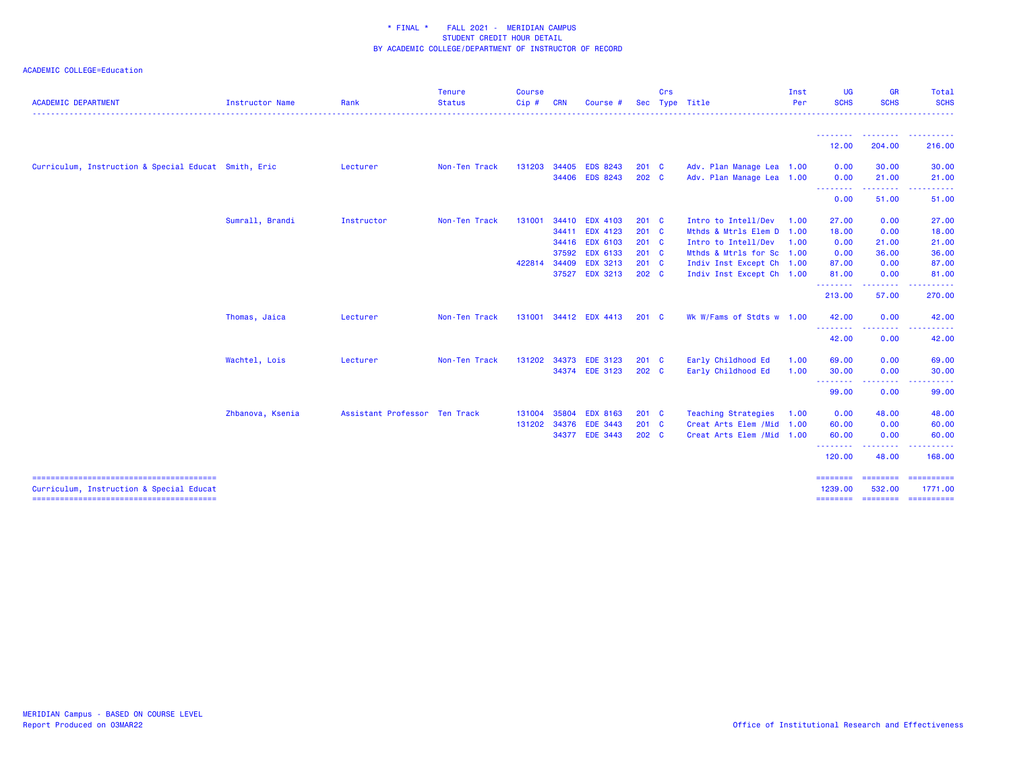| <b>ACADEMIC DEPARTMENT</b>                           | Instructor Name  | Rank                          | <b>Tenure</b><br><b>Status</b> | <b>Course</b><br>Cip # | <b>CRN</b>                       | Course #                                                                 | Sec                                    | Crs | Type Title                                                                                           | Inst<br>Per  | <b>UG</b><br><b>SCHS</b>       | <b>GR</b><br><b>SCHS</b>         | <b>Total</b><br><b>SCHS</b><br>.                                                                                                                                                                                                                                                                                                                                                                                                                                                                                                                                                                                                                                                                                                                                                                                                                                                                                                                                                            |
|------------------------------------------------------|------------------|-------------------------------|--------------------------------|------------------------|----------------------------------|--------------------------------------------------------------------------|----------------------------------------|-----|------------------------------------------------------------------------------------------------------|--------------|--------------------------------|----------------------------------|---------------------------------------------------------------------------------------------------------------------------------------------------------------------------------------------------------------------------------------------------------------------------------------------------------------------------------------------------------------------------------------------------------------------------------------------------------------------------------------------------------------------------------------------------------------------------------------------------------------------------------------------------------------------------------------------------------------------------------------------------------------------------------------------------------------------------------------------------------------------------------------------------------------------------------------------------------------------------------------------|
|                                                      |                  |                               |                                |                        |                                  |                                                                          |                                        |     |                                                                                                      |              | - - - - - - - - -<br>12.00     | ---------<br>204.00              | . <b>.</b> .<br>216.00                                                                                                                                                                                                                                                                                                                                                                                                                                                                                                                                                                                                                                                                                                                                                                                                                                                                                                                                                                      |
| Curriculum, Instruction & Special Educat Smith, Eric |                  | Lecturer                      | Non-Ten Track                  | 131203                 | 34405                            | <b>EDS 8243</b><br>34406 EDS 8243                                        | $201$ C<br>$202 \quad C$               |     | Adv. Plan Manage Lea 1.00<br>Adv. Plan Manage Lea 1.00                                               |              | 0.00<br>0.00                   | 30.00<br>21.00                   | 30.00<br>21.00                                                                                                                                                                                                                                                                                                                                                                                                                                                                                                                                                                                                                                                                                                                                                                                                                                                                                                                                                                              |
|                                                      |                  |                               |                                |                        |                                  |                                                                          |                                        |     |                                                                                                      |              | .<br>0.00                      | .<br>51.00                       | <b></b><br>51.00                                                                                                                                                                                                                                                                                                                                                                                                                                                                                                                                                                                                                                                                                                                                                                                                                                                                                                                                                                            |
|                                                      | Sumrall, Brandi  | Instructor                    | Non-Ten Track                  | 131001                 | 34410<br>34411<br>34416<br>37592 | <b>EDX 4103</b><br><b>EDX 4123</b><br><b>EDX 6103</b><br><b>EDX 6133</b> | $201$ C<br>$201$ C<br>$201$ C<br>201 C |     | Intro to Intell/Dev<br>Mthds & Mtrls Elem D 1.00<br>Intro to Intell/Dev<br>Mthds & Mtrls for Sc 1.00 | 1.00<br>1.00 | 27.00<br>18.00<br>0.00<br>0.00 | 0.00<br>0.00<br>21.00<br>36.00   | 27.00<br>18.00<br>21.00<br>36.00                                                                                                                                                                                                                                                                                                                                                                                                                                                                                                                                                                                                                                                                                                                                                                                                                                                                                                                                                            |
|                                                      |                  |                               |                                | 422814                 | 34409<br>37527                   | <b>EDX 3213</b><br><b>EDX 3213</b>                                       | $201$ C<br>202 C                       |     | Indiv Inst Except Ch 1.00<br>Indiv Inst Except Ch 1.00                                               |              | 87.00<br>81.00                 | 0.00<br>0.00                     | 87.00<br>81.00                                                                                                                                                                                                                                                                                                                                                                                                                                                                                                                                                                                                                                                                                                                                                                                                                                                                                                                                                                              |
|                                                      |                  |                               |                                |                        |                                  |                                                                          |                                        |     |                                                                                                      |              | .<br>213.00                    | . <u>.</u><br>57.00              | .<br>270.00                                                                                                                                                                                                                                                                                                                                                                                                                                                                                                                                                                                                                                                                                                                                                                                                                                                                                                                                                                                 |
|                                                      | Thomas, Jaica    | Lecturer                      | Non-Ten Track                  |                        |                                  | 131001 34412 EDX 4413                                                    | $201 \quad C$                          |     | Wk W/Fams of Stdts w 1.00                                                                            |              | 42.00                          | 0.00                             | 42.00                                                                                                                                                                                                                                                                                                                                                                                                                                                                                                                                                                                                                                                                                                                                                                                                                                                                                                                                                                                       |
|                                                      |                  |                               |                                |                        |                                  |                                                                          |                                        |     |                                                                                                      |              | 42.00                          | 0.00                             | 42.00                                                                                                                                                                                                                                                                                                                                                                                                                                                                                                                                                                                                                                                                                                                                                                                                                                                                                                                                                                                       |
|                                                      | Wachtel, Lois    | Lecturer                      | Non-Ten Track                  | 131202                 | 34373                            | <b>EDE 3123</b><br>34374 EDE 3123                                        | $201$ C<br>202 <sub>c</sub>            |     | Early Childhood Ed<br>Early Childhood Ed                                                             | 1.00<br>1.00 | 69.00<br>30.00                 | 0.00<br>0.00                     | 69.00<br>30.00                                                                                                                                                                                                                                                                                                                                                                                                                                                                                                                                                                                                                                                                                                                                                                                                                                                                                                                                                                              |
|                                                      |                  |                               |                                |                        |                                  |                                                                          |                                        |     |                                                                                                      |              | .<br>99.00                     | .<br>0.00                        | ------<br>99.00                                                                                                                                                                                                                                                                                                                                                                                                                                                                                                                                                                                                                                                                                                                                                                                                                                                                                                                                                                             |
|                                                      | Zhbanova, Ksenia | Assistant Professor Ten Track |                                | 131004<br>131202       | 35804<br>34376                   | <b>EDX 8163</b><br><b>EDE 3443</b><br>34377 EDE 3443                     | $201$ C<br>$201$ C<br>202 <sub>c</sub> |     | Teaching Strategies<br>Creat Arts Elem / Mid 1.00<br>Creat Arts Elem / Mid 1.00                      | 1.00         | 0.00<br>60.00<br>60.00<br>.    | 48.00<br>0.00<br>0.00<br>------- | 48.00<br>60.00<br>60.00                                                                                                                                                                                                                                                                                                                                                                                                                                                                                                                                                                                                                                                                                                                                                                                                                                                                                                                                                                     |
|                                                      |                  |                               |                                |                        |                                  |                                                                          |                                        |     |                                                                                                      |              | 120.00                         | 48.00                            | 168.00                                                                                                                                                                                                                                                                                                                                                                                                                                                                                                                                                                                                                                                                                                                                                                                                                                                                                                                                                                                      |
| Curriculum, Instruction & Special Educat             |                  |                               |                                |                        |                                  |                                                                          |                                        |     |                                                                                                      |              | ========<br>1239.00            | <b>ESSESSED</b><br>532.00        | $\begin{array}{cccccccccc} \multicolumn{2}{c}{} & \multicolumn{2}{c}{} & \multicolumn{2}{c}{} & \multicolumn{2}{c}{} & \multicolumn{2}{c}{} & \multicolumn{2}{c}{} & \multicolumn{2}{c}{} & \multicolumn{2}{c}{} & \multicolumn{2}{c}{} & \multicolumn{2}{c}{} & \multicolumn{2}{c}{} & \multicolumn{2}{c}{} & \multicolumn{2}{c}{} & \multicolumn{2}{c}{} & \multicolumn{2}{c}{} & \multicolumn{2}{c}{} & \multicolumn{2}{c}{} & \multicolumn{2}{c}{} & \multicolumn{2}{c}{} & \mult$<br>1771.00<br>$\begin{array}{cccccccccc} \multicolumn{2}{c}{} & \multicolumn{2}{c}{} & \multicolumn{2}{c}{} & \multicolumn{2}{c}{} & \multicolumn{2}{c}{} & \multicolumn{2}{c}{} & \multicolumn{2}{c}{} & \multicolumn{2}{c}{} & \multicolumn{2}{c}{} & \multicolumn{2}{c}{} & \multicolumn{2}{c}{} & \multicolumn{2}{c}{} & \multicolumn{2}{c}{} & \multicolumn{2}{c}{} & \multicolumn{2}{c}{} & \multicolumn{2}{c}{} & \multicolumn{2}{c}{} & \multicolumn{2}{c}{} & \multicolumn{2}{c}{} & \mult$ |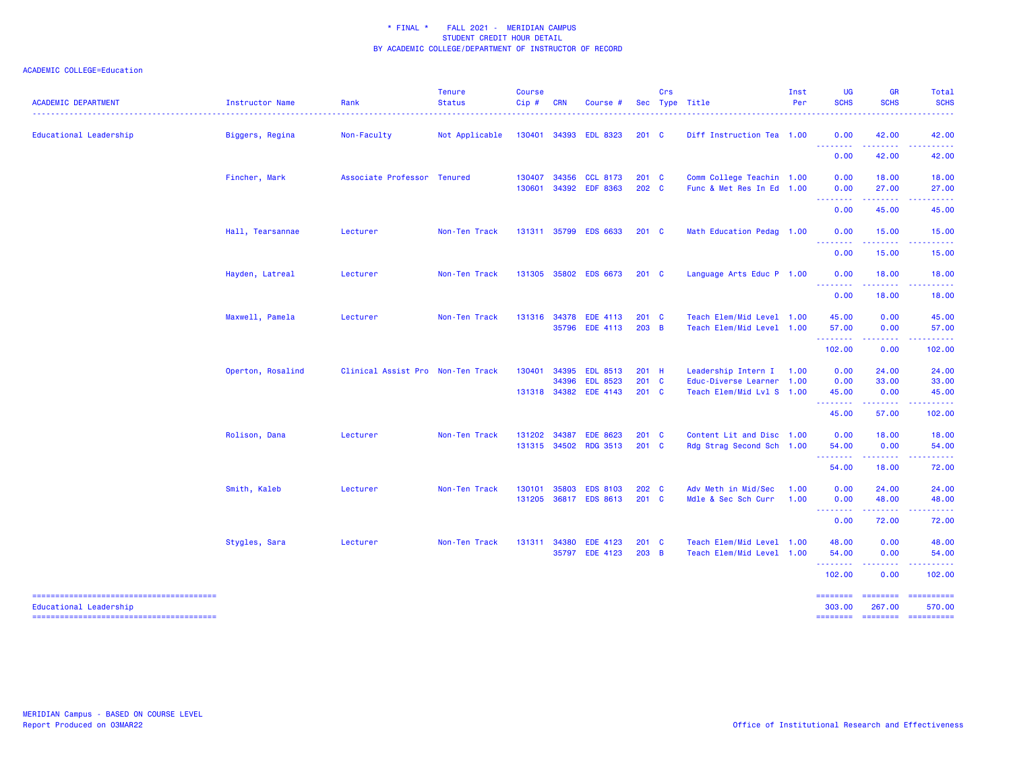| <b>ACADEMIC DEPARTMENT</b> | Instructor Name   | Rank                              | <b>Tenure</b><br><b>Status</b> | <b>Course</b><br>Cip# | <b>CRN</b>     | Course #                                                    |                                   | Crs | Sec Type Title                                                                | Inst<br>Per  | UG<br><b>SCHS</b>                     | <b>GR</b><br><b>SCHS</b>                                                                                                                                      | <b>Total</b><br><b>SCHS</b>                                                                                                                                                                                                                                                                                                                                                                                                                                                                                    |
|----------------------------|-------------------|-----------------------------------|--------------------------------|-----------------------|----------------|-------------------------------------------------------------|-----------------------------------|-----|-------------------------------------------------------------------------------|--------------|---------------------------------------|---------------------------------------------------------------------------------------------------------------------------------------------------------------|----------------------------------------------------------------------------------------------------------------------------------------------------------------------------------------------------------------------------------------------------------------------------------------------------------------------------------------------------------------------------------------------------------------------------------------------------------------------------------------------------------------|
| Educational Leadership     | Biggers, Regina   | Non-Faculty                       | Not Applicable                 |                       |                | 130401 34393 EDL 8323                                       | $201 \quad C$                     |     | Diff Instruction Tea 1.00                                                     |              | 0.00                                  | 42.00                                                                                                                                                         | 42.00                                                                                                                                                                                                                                                                                                                                                                                                                                                                                                          |
|                            |                   |                                   |                                |                       |                |                                                             |                                   |     |                                                                               |              | ----<br>0.00                          | 42.00                                                                                                                                                         | 42.00                                                                                                                                                                                                                                                                                                                                                                                                                                                                                                          |
|                            | Fincher, Mark     | Associate Professor Tenured       |                                | 130407<br>130601      | 34356          | <b>CCL 8173</b><br>34392 EDF 8363                           | $201 \quad C$<br>202 C            |     | Comm College Teachin 1.00<br>Func & Met Res In Ed 1.00                        |              | 0.00<br>0.00                          | 18.00<br>27.00<br><u>.</u>                                                                                                                                    | 18.00<br>27.00                                                                                                                                                                                                                                                                                                                                                                                                                                                                                                 |
|                            |                   |                                   |                                |                       |                |                                                             |                                   |     |                                                                               |              | .<br>0.00                             | 45.00                                                                                                                                                         | 45.00                                                                                                                                                                                                                                                                                                                                                                                                                                                                                                          |
|                            | Hall, Tearsannae  | Lecturer                          | Non-Ten Track                  |                       |                | 131311 35799 EDS 6633                                       | $201 \quad C$                     |     | Math Education Pedag 1.00                                                     |              | 0.00                                  | 15.00                                                                                                                                                         | 15.00                                                                                                                                                                                                                                                                                                                                                                                                                                                                                                          |
|                            |                   |                                   |                                |                       |                |                                                             |                                   |     |                                                                               |              | .<br>0.00                             | .<br>15.00                                                                                                                                                    | - - - - - -<br>15.00                                                                                                                                                                                                                                                                                                                                                                                                                                                                                           |
|                            | Hayden, Latreal   | Lecturer                          | Non-Ten Track                  |                       |                | 131305 35802 EDS 6673                                       | $201 \quad C$                     |     | Language Arts Educ P 1.00                                                     |              | 0.00                                  | 18.00                                                                                                                                                         | 18.00                                                                                                                                                                                                                                                                                                                                                                                                                                                                                                          |
|                            |                   |                                   |                                |                       |                |                                                             |                                   |     |                                                                               |              | <u>.</u><br>0.00                      | $\frac{1}{2} \left( \frac{1}{2} \right) \left( \frac{1}{2} \right) \left( \frac{1}{2} \right) \left( \frac{1}{2} \right) \left( \frac{1}{2} \right)$<br>18.00 | . <u>.</u><br>18.00                                                                                                                                                                                                                                                                                                                                                                                                                                                                                            |
|                            | Maxwell, Pamela   | Lecturer                          | Non-Ten Track                  |                       |                | 131316 34378 EDE 4113<br>35796 EDE 4113                     | $201$ C<br>$203$ B                |     | Teach Elem/Mid Level 1.00<br>Teach Elem/Mid Level 1.00                        |              | 45.00<br>57.00<br>.                   | 0.00<br>0.00                                                                                                                                                  | 45.00<br>57.00                                                                                                                                                                                                                                                                                                                                                                                                                                                                                                 |
|                            |                   |                                   |                                |                       |                |                                                             |                                   |     |                                                                               |              | 102.00                                | 0.00                                                                                                                                                          | 102.00                                                                                                                                                                                                                                                                                                                                                                                                                                                                                                         |
|                            | Operton, Rosalind | Clinical Assist Pro Non-Ten Track |                                | 130401                | 34395<br>34396 | <b>EDL 8513</b><br><b>EDL 8523</b><br>131318 34382 EDE 4143 | $201$ H<br>201 C<br>$201 \quad C$ |     | Leadership Intern I<br>Educ-Diverse Learner 1.00<br>Teach Elem/Mid Lvl S 1.00 | 1.00         | 0.00<br>0.00<br>45.00                 | 24.00<br>33.00<br>0.00                                                                                                                                        | 24.00<br>33.00<br>45.00                                                                                                                                                                                                                                                                                                                                                                                                                                                                                        |
|                            |                   |                                   |                                |                       |                |                                                             |                                   |     |                                                                               |              | .<br>45.00                            | 57.00                                                                                                                                                         | د د د د د<br>102.00                                                                                                                                                                                                                                                                                                                                                                                                                                                                                            |
|                            | Rolison, Dana     | Lecturer                          | Non-Ten Track                  | 131202                | 34387          | <b>EDE 8623</b><br>131315 34502 RDG 3513                    | $201 \quad C$<br>$201 \quad C$    |     | Content Lit and Disc 1.00<br>Rdg Strag Second Sch 1.00                        |              | 0.00<br>54.00                         | 18.00<br>0.00                                                                                                                                                 | 18.00<br>54.00                                                                                                                                                                                                                                                                                                                                                                                                                                                                                                 |
|                            |                   |                                   |                                |                       |                |                                                             |                                   |     |                                                                               |              | .<br>54.00                            | .<br>18.00                                                                                                                                                    | د د د د د<br>72.00                                                                                                                                                                                                                                                                                                                                                                                                                                                                                             |
|                            | Smith, Kaleb      | Lecturer                          | Non-Ten Track                  | 130101<br>131205      | 35803          | <b>EDS 8103</b><br>36817 EDS 8613                           | 202 C<br>$201$ C                  |     | Adv Meth in Mid/Sec<br>Mdle & Sec Sch Curr                                    | 1.00<br>1.00 | 0.00<br>0.00                          | 24.00<br>48.00                                                                                                                                                | 24.00<br>48.00                                                                                                                                                                                                                                                                                                                                                                                                                                                                                                 |
|                            |                   |                                   |                                |                       |                |                                                             |                                   |     |                                                                               |              | .<br>0.00                             | 72.00                                                                                                                                                         | 72.00                                                                                                                                                                                                                                                                                                                                                                                                                                                                                                          |
|                            | Stygles, Sara     | Lecturer                          | Non-Ten Track                  | 131311                | 34380          | <b>EDE 4123</b><br>35797 EDE 4123                           | $201 \quad C$<br>$203$ B          |     | Teach Elem/Mid Level 1.00<br>Teach Elem/Mid Level 1.00                        |              | 48.00<br>54.00<br>.                   | 0.00<br>0.00<br>.                                                                                                                                             | 48.00<br>54.00                                                                                                                                                                                                                                                                                                                                                                                                                                                                                                 |
|                            |                   |                                   |                                |                       |                |                                                             |                                   |     |                                                                               |              | 102.00                                | 0.00                                                                                                                                                          | 102.00                                                                                                                                                                                                                                                                                                                                                                                                                                                                                                         |
| Educational Leadership     |                   |                                   |                                |                       |                |                                                             |                                   |     |                                                                               |              | ========<br>303.00<br><b>ESSESSES</b> | ========<br>267.00<br><b>ESSESSEE</b>                                                                                                                         | ==========<br>570.00<br>$\begin{array}{cccccccccc} \multicolumn{2}{c}{} & \multicolumn{2}{c}{} & \multicolumn{2}{c}{} & \multicolumn{2}{c}{} & \multicolumn{2}{c}{} & \multicolumn{2}{c}{} & \multicolumn{2}{c}{} & \multicolumn{2}{c}{} & \multicolumn{2}{c}{} & \multicolumn{2}{c}{} & \multicolumn{2}{c}{} & \multicolumn{2}{c}{} & \multicolumn{2}{c}{} & \multicolumn{2}{c}{} & \multicolumn{2}{c}{} & \multicolumn{2}{c}{} & \multicolumn{2}{c}{} & \multicolumn{2}{c}{} & \multicolumn{2}{c}{} & \mult$ |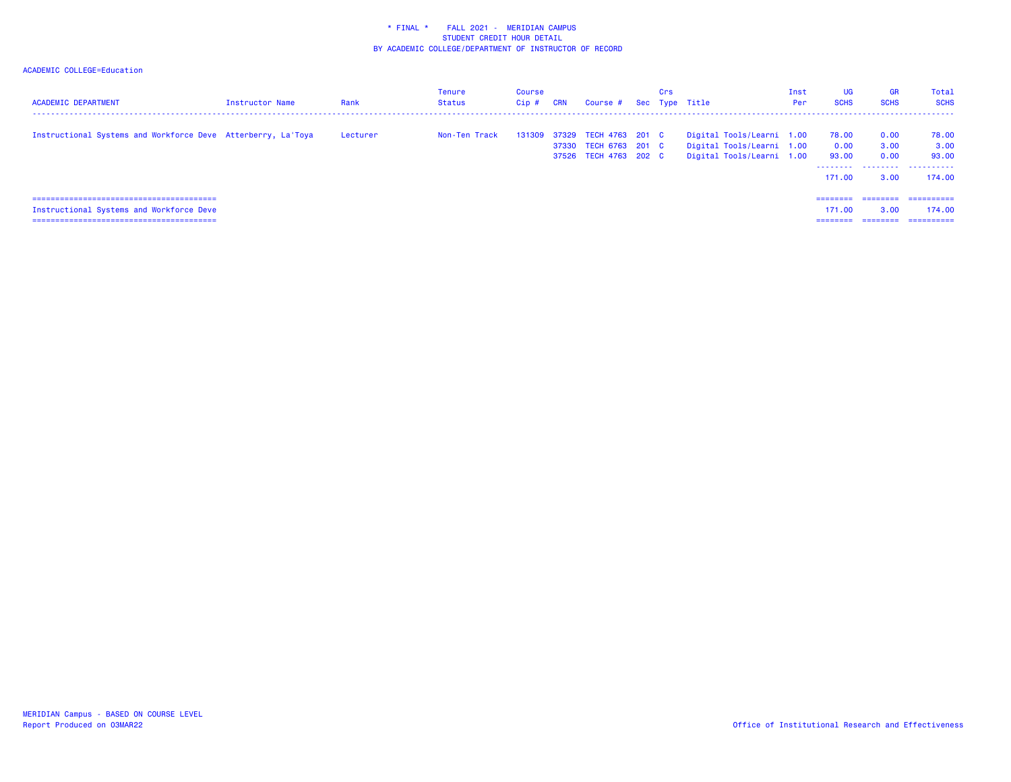| <b>ACADEMIC DEPARTMENT</b>                                   | <b>Instructor Name</b> | Rank     | <b>Tenure</b><br><b>Status</b> | Course<br>Cip# | CRN | Course # Sec Type Title                                                 | Crs |                                                                                     | Inst<br>Per | <b>UG</b><br><b>SCHS</b>                              | <b>GR</b><br><b>SCHS</b>     | Total<br><b>SCHS</b>                 |
|--------------------------------------------------------------|------------------------|----------|--------------------------------|----------------|-----|-------------------------------------------------------------------------|-----|-------------------------------------------------------------------------------------|-------------|-------------------------------------------------------|------------------------------|--------------------------------------|
| Instructional Systems and Workforce Deve Atterberry, La'Toya |                        | Lecturer | Non-Ten Track                  | 131309         |     | 37329 TECH 4763 201 C<br>37330 TECH 6763 201 C<br>37526 TECH 4763 202 C |     | Digital Tools/Learni 1.00<br>Digital Tools/Learni 1.00<br>Digital Tools/Learni 1.00 |             | 78.00<br>0.00<br>93.00<br>-------- <i>-</i><br>171.00 | 0.00<br>3.00<br>0.00<br>3.00 | 78.00<br>3.00<br>93.00<br><br>174.00 |
| Instructional Systems and Workforce Deve                     |                        |          |                                |                |     |                                                                         |     |                                                                                     |             | ---------<br>171.00<br>--------                       | ========<br>3.00<br>======== | ==========<br>174.00<br>=========    |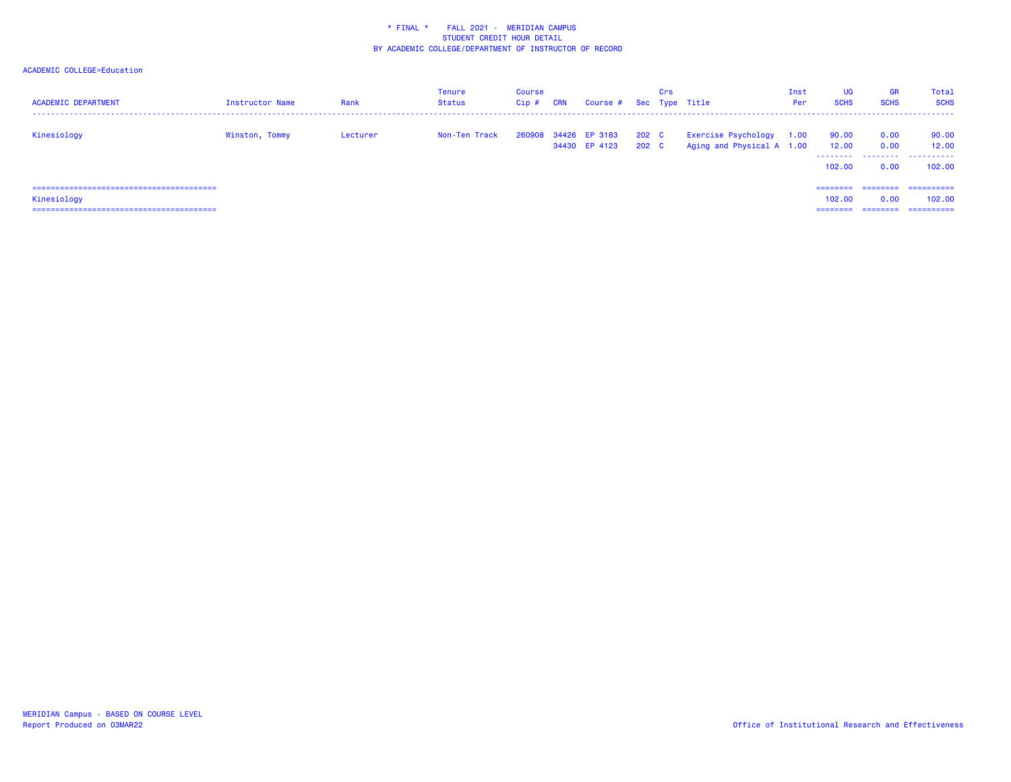| <b>ACADEMIC DEPARTMENT</b> | Instructor Name | Rank     | Tenure<br>Status | Course<br>Cip # | <b>CRN</b> | Course # Sec Type Title               |                           | Crs |                                                  | Inst<br>Per | <b>UG</b><br><b>SCHS</b> | <b>GR</b><br><b>SCHS</b> | Total<br><b>SCHS</b>          |
|----------------------------|-----------------|----------|------------------|-----------------|------------|---------------------------------------|---------------------------|-----|--------------------------------------------------|-------------|--------------------------|--------------------------|-------------------------------|
| Kinesiology                | Winston, Tommy  | Lecturer | Non-Ten Track    |                 |            | 260908 34426 EP 3183<br>34430 EP 4123 | 202 C<br>202 <sub>c</sub> |     | Exercise Psychology<br>Aging and Physical A 1.00 | 1.00        | 90.00<br>12.00<br>102,00 | 0.00<br>0.00<br><br>0.00 | 90.00<br>12.00<br>.<br>102.00 |
| Kinesiology                |                 |          |                  |                 |            |                                       |                           |     |                                                  |             | ========<br>102,00       | ---------<br>0.00        | ==========<br>102.00          |
|                            |                 |          |                  |                 |            |                                       |                           |     |                                                  |             | ========                 | --------                 | ==========                    |